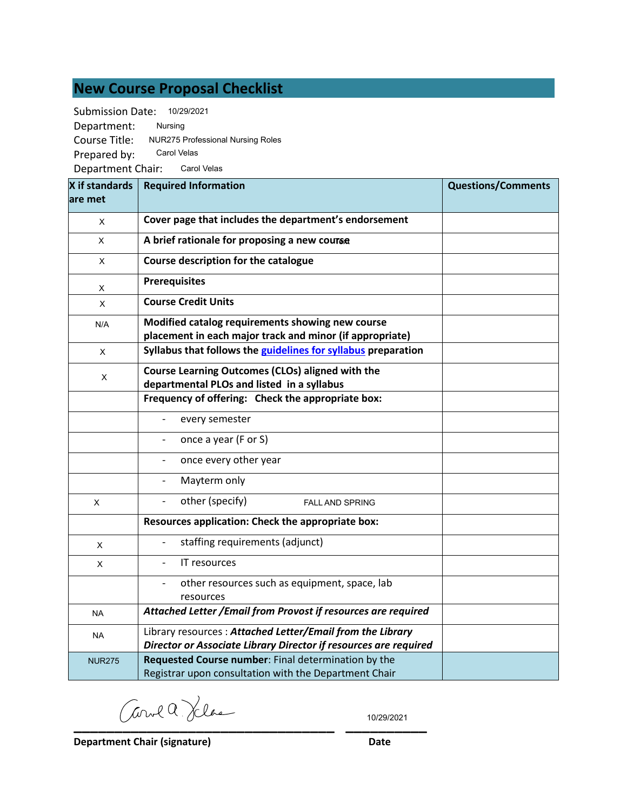# **New Course Proposal Checklist**

Submission Date: 10/29/2021

Department: Course Title: NUR275 Professional Nursing Roles Prepared by: Department Chair: Carol Velas Nursing Carol Velas

| X if standards | <b>Required Information</b>                                                                                                   | <b>Questions/Comments</b> |
|----------------|-------------------------------------------------------------------------------------------------------------------------------|---------------------------|
| lare met       |                                                                                                                               |                           |
| $\pmb{\times}$ | Cover page that includes the department's endorsement                                                                         |                           |
| X              | A brief rationale for proposing a new course                                                                                  |                           |
| $\pmb{\times}$ | Course description for the catalogue                                                                                          |                           |
| X              | <b>Prerequisites</b>                                                                                                          |                           |
| X              | <b>Course Credit Units</b>                                                                                                    |                           |
| N/A            | Modified catalog requirements showing new course<br>placement in each major track and minor (if appropriate)                  |                           |
| X              | Syllabus that follows the guidelines for syllabus preparation                                                                 |                           |
| X              | Course Learning Outcomes (CLOs) aligned with the<br>departmental PLOs and listed in a syllabus                                |                           |
|                | Frequency of offering: Check the appropriate box:                                                                             |                           |
|                | every semester                                                                                                                |                           |
|                | once a year (F or S)                                                                                                          |                           |
|                | once every other year                                                                                                         |                           |
|                | Mayterm only                                                                                                                  |                           |
| X              | other (specify)<br>$\overline{\phantom{a}}$<br><b>FALL AND SPRING</b>                                                         |                           |
|                | Resources application: Check the appropriate box:                                                                             |                           |
| X              | staffing requirements (adjunct)                                                                                               |                           |
| X              | IT resources                                                                                                                  |                           |
|                | other resources such as equipment, space, lab<br>resources                                                                    |                           |
| <b>NA</b>      | Attached Letter / Email from Provost if resources are required                                                                |                           |
| <b>NA</b>      | Library resources: Attached Letter/Email from the Library<br>Director or Associate Library Director if resources are required |                           |
| <b>NUR275</b>  | Requested Course number: Final determination by the<br>Registrar upon consultation with the Department Chair                  |                           |

**\_\_\_\_\_\_\_\_\_\_\_\_\_\_\_\_\_\_\_\_\_\_\_\_\_\_\_\_\_\_\_\_ \_\_\_\_\_\_\_\_\_\_**

10/29/2021

**Department Chair (signature) Date**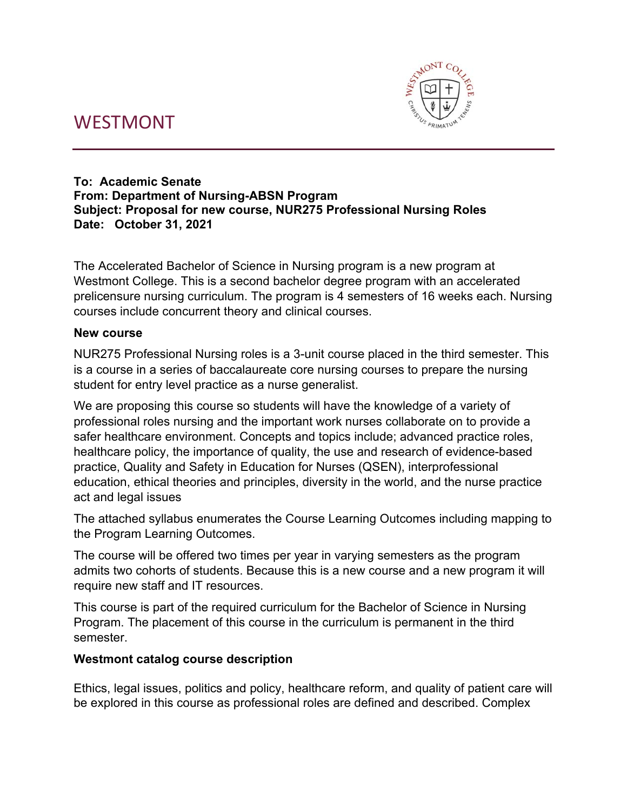# WESTMONT



#### **To: Academic Senate From: Department of Nursing-ABSN Program Subject: Proposal for new course, NUR275 Professional Nursing Roles Date: October 31, 2021**

The Accelerated Bachelor of Science in Nursing program is a new program at Westmont College. This is a second bachelor degree program with an accelerated prelicensure nursing curriculum. The program is 4 semesters of 16 weeks each. Nursing courses include concurrent theory and clinical courses.

#### **New course**

NUR275 Professional Nursing roles is a 3-unit course placed in the third semester. This is a course in a series of baccalaureate core nursing courses to prepare the nursing student for entry level practice as a nurse generalist.

We are proposing this course so students will have the knowledge of a variety of professional roles nursing and the important work nurses collaborate on to provide a safer healthcare environment. Concepts and topics include; advanced practice roles, healthcare policy, the importance of quality, the use and research of evidence-based practice, Quality and Safety in Education for Nurses (QSEN), interprofessional education, ethical theories and principles, diversity in the world, and the nurse practice act and legal issues

The attached syllabus enumerates the Course Learning Outcomes including mapping to the Program Learning Outcomes.

The course will be offered two times per year in varying semesters as the program admits two cohorts of students. Because this is a new course and a new program it will require new staff and IT resources.

This course is part of the required curriculum for the Bachelor of Science in Nursing Program. The placement of this course in the curriculum is permanent in the third semester.

#### **Westmont catalog course description**

Ethics, legal issues, politics and policy, healthcare reform, and quality of patient care will be explored in this course as professional roles are defined and described. Complex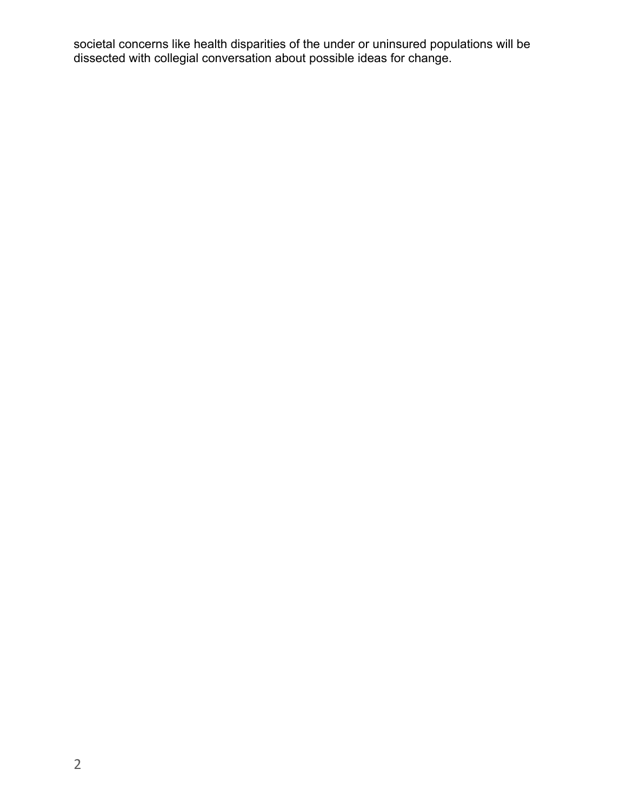societal concerns like health disparities of the under or uninsured populations will be dissected with collegial conversation about possible ideas for change.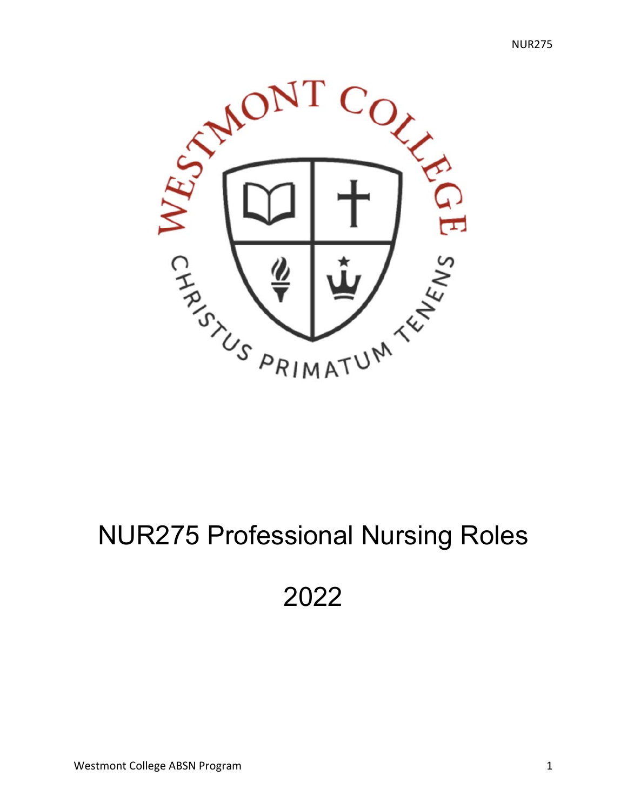

# NUR275 Professional Nursing Roles

# 2022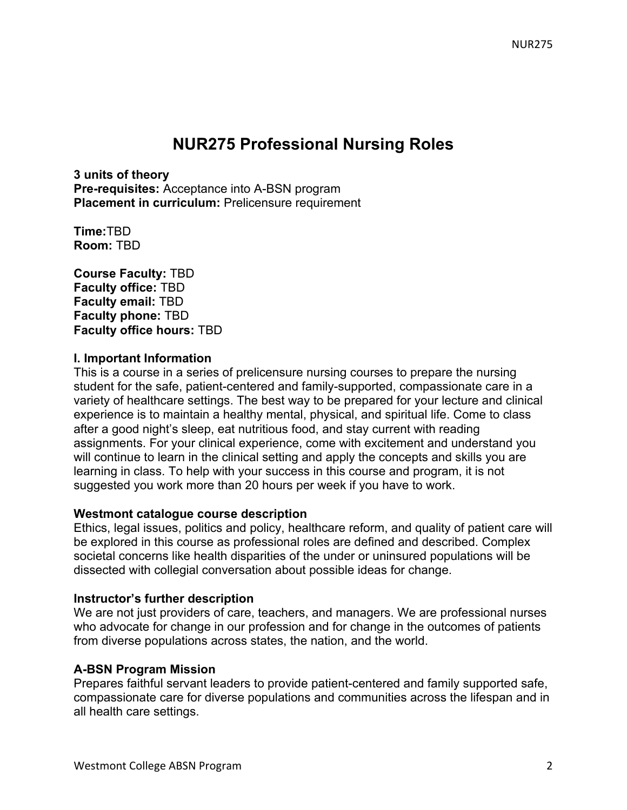# **NUR275 Professional Nursing Roles**

**3 units of theory Pre-requisites:** Acceptance into A-BSN program **Placement in curriculum:** Prelicensure requirement

**Time:**TBD **Room:** TBD

**Course Faculty:** TBD **Faculty office:** TBD **Faculty email:** TBD **Faculty phone:** TBD **Faculty office hours:** TBD

#### **I. Important Information**

This is a course in a series of prelicensure nursing courses to prepare the nursing student for the safe, patient-centered and family-supported, compassionate care in a variety of healthcare settings. The best way to be prepared for your lecture and clinical experience is to maintain a healthy mental, physical, and spiritual life. Come to class after a good night's sleep, eat nutritious food, and stay current with reading assignments. For your clinical experience, come with excitement and understand you will continue to learn in the clinical setting and apply the concepts and skills you are learning in class. To help with your success in this course and program, it is not suggested you work more than 20 hours per week if you have to work.

#### **Westmont catalogue course description**

Ethics, legal issues, politics and policy, healthcare reform, and quality of patient care will be explored in this course as professional roles are defined and described. Complex societal concerns like health disparities of the under or uninsured populations will be dissected with collegial conversation about possible ideas for change.

#### **Instructor's further description**

We are not just providers of care, teachers, and managers. We are professional nurses who advocate for change in our profession and for change in the outcomes of patients from diverse populations across states, the nation, and the world.

#### **A-BSN Program Mission**

Prepares faithful servant leaders to provide patient-centered and family supported safe, compassionate care for diverse populations and communities across the lifespan and in all health care settings.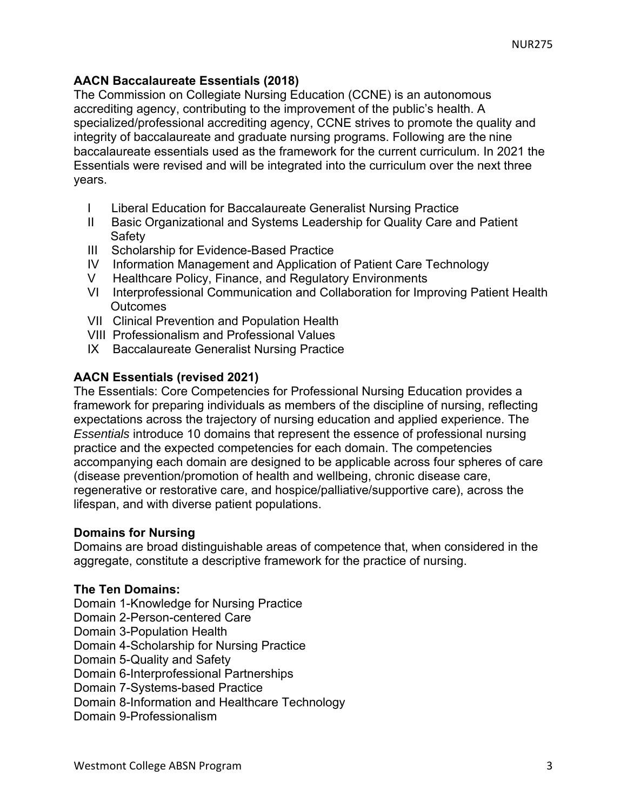#### **AACN Baccalaureate Essentials (2018)**

The Commission on Collegiate Nursing Education (CCNE) is an autonomous accrediting agency, contributing to the improvement of the public's health. A specialized/professional accrediting agency, CCNE strives to promote the quality and integrity of baccalaureate and graduate nursing programs. Following are the nine baccalaureate essentials used as the framework for the current curriculum. In 2021 the Essentials were revised and will be integrated into the curriculum over the next three years.

- I Liberal Education for Baccalaureate Generalist Nursing Practice
- II Basic Organizational and Systems Leadership for Quality Care and Patient **Safety**
- III Scholarship for Evidence-Based Practice
- IV Information Management and Application of Patient Care Technology
- V Healthcare Policy, Finance, and Regulatory Environments
- VI Interprofessional Communication and Collaboration for Improving Patient Health **Outcomes**
- VII Clinical Prevention and Population Health
- VIII Professionalism and Professional Values
- IX Baccalaureate Generalist Nursing Practice

## **AACN Essentials (revised 2021)**

The Essentials: Core Competencies for Professional Nursing Education provides a framework for preparing individuals as members of the discipline of nursing, reflecting expectations across the trajectory of nursing education and applied experience. The *Essentials* introduce 10 domains that represent the essence of professional nursing practice and the expected competencies for each domain. The competencies accompanying each domain are designed to be applicable across four spheres of care (disease prevention/promotion of health and wellbeing, chronic disease care, regenerative or restorative care, and hospice/palliative/supportive care), across the lifespan, and with diverse patient populations.

#### **Domains for Nursing**

Domains are broad distinguishable areas of competence that, when considered in the aggregate, constitute a descriptive framework for the practice of nursing.

#### **The Ten Domains:**

Domain 1-Knowledge for Nursing Practice

- Domain 2-Person-centered Care
- Domain 3-Population Health

Domain 4-Scholarship for Nursing Practice

Domain 5-Quality and Safety

Domain 6-Interprofessional Partnerships

Domain 7-Systems-based Practice

Domain 8-Information and Healthcare Technology

Domain 9-Professionalism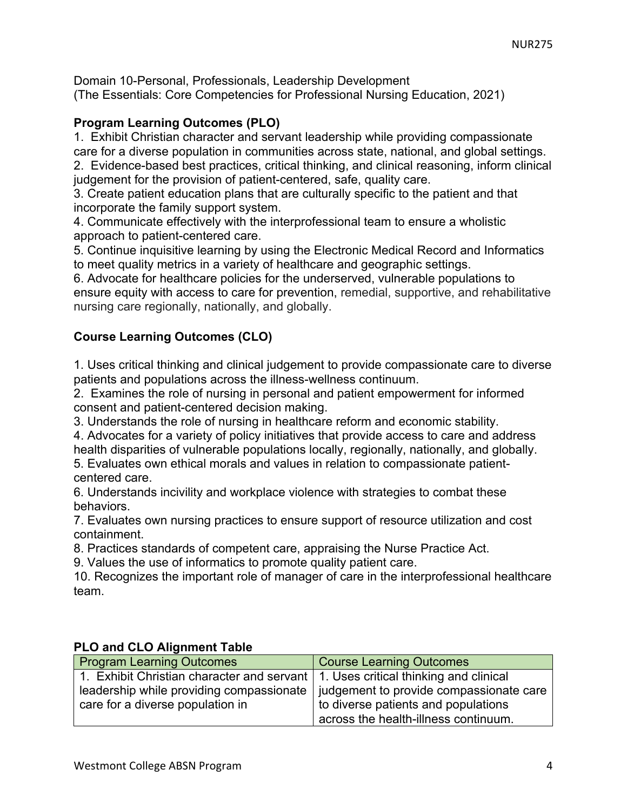Domain 10-Personal, Professionals, Leadership Development (The Essentials: Core Competencies for Professional Nursing Education, 2021)

#### **Program Learning Outcomes (PLO)**

1. Exhibit Christian character and servant leadership while providing compassionate care for a diverse population in communities across state, national, and global settings. 2. Evidence-based best practices, critical thinking, and clinical reasoning, inform clinical judgement for the provision of patient-centered, safe, quality care.

3. Create patient education plans that are culturally specific to the patient and that incorporate the family support system.

4. Communicate effectively with the interprofessional team to ensure a wholistic approach to patient-centered care.

5. Continue inquisitive learning by using the Electronic Medical Record and Informatics to meet quality metrics in a variety of healthcare and geographic settings.

6. Advocate for healthcare policies for the underserved, vulnerable populations to ensure equity with access to care for prevention, remedial, supportive, and rehabilitative nursing care regionally, nationally, and globally.

## **Course Learning Outcomes (CLO)**

1. Uses critical thinking and clinical judgement to provide compassionate care to diverse patients and populations across the illness-wellness continuum.

2. Examines the role of nursing in personal and patient empowerment for informed consent and patient-centered decision making.

3. Understands the role of nursing in healthcare reform and economic stability.

4. Advocates for a variety of policy initiatives that provide access to care and address health disparities of vulnerable populations locally, regionally, nationally, and globally.

5. Evaluates own ethical morals and values in relation to compassionate patientcentered care.

6. Understands incivility and workplace violence with strategies to combat these behaviors.

7. Evaluates own nursing practices to ensure support of resource utilization and cost containment.

8. Practices standards of competent care, appraising the Nurse Practice Act.

9. Values the use of informatics to promote quality patient care.

10. Recognizes the important role of manager of care in the interprofessional healthcare team.

#### **PLO and CLO Alignment Table**

| <b>Program Learning Outcomes</b>                                                    | <b>Course Learning Outcomes</b>         |
|-------------------------------------------------------------------------------------|-----------------------------------------|
| 1. Exhibit Christian character and servant   1. Uses critical thinking and clinical |                                         |
| leadership while providing compassionate                                            | judgement to provide compassionate care |
| care for a diverse population in                                                    | to diverse patients and populations     |
|                                                                                     | across the health-illness continuum.    |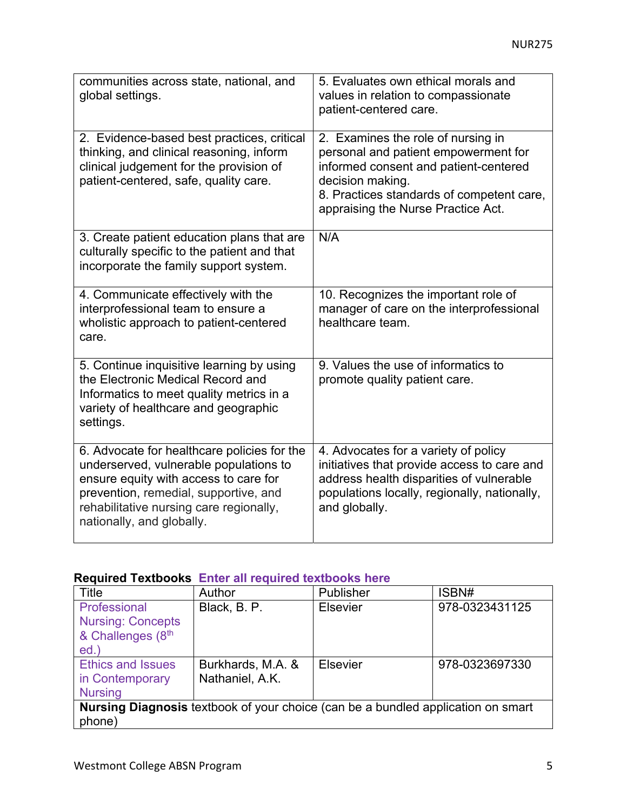| communities across state, national, and<br>global settings.                                                                                                                                                                                     | 5. Evaluates own ethical morals and<br>values in relation to compassionate<br>patient-centered care.                                                                                                                       |
|-------------------------------------------------------------------------------------------------------------------------------------------------------------------------------------------------------------------------------------------------|----------------------------------------------------------------------------------------------------------------------------------------------------------------------------------------------------------------------------|
| 2. Evidence-based best practices, critical<br>thinking, and clinical reasoning, inform<br>clinical judgement for the provision of<br>patient-centered, safe, quality care.                                                                      | 2. Examines the role of nursing in<br>personal and patient empowerment for<br>informed consent and patient-centered<br>decision making.<br>8. Practices standards of competent care,<br>appraising the Nurse Practice Act. |
| 3. Create patient education plans that are<br>culturally specific to the patient and that<br>incorporate the family support system.                                                                                                             | N/A                                                                                                                                                                                                                        |
| 4. Communicate effectively with the<br>interprofessional team to ensure a<br>wholistic approach to patient-centered<br>care.                                                                                                                    | 10. Recognizes the important role of<br>manager of care on the interprofessional<br>healthcare team.                                                                                                                       |
| 5. Continue inquisitive learning by using<br>the Electronic Medical Record and<br>Informatics to meet quality metrics in a<br>variety of healthcare and geographic<br>settings.                                                                 | 9. Values the use of informatics to<br>promote quality patient care.                                                                                                                                                       |
| 6. Advocate for healthcare policies for the<br>underserved, vulnerable populations to<br>ensure equity with access to care for<br>prevention, remedial, supportive, and<br>rehabilitative nursing care regionally,<br>nationally, and globally. | 4. Advocates for a variety of policy<br>initiatives that provide access to care and<br>address health disparities of vulnerable<br>populations locally, regionally, nationally,<br>and globally.                           |

## **Required Textbooks Enter all required textbooks here**

| Title                                                                            | Author            | Publisher       | ISBN#          |  |
|----------------------------------------------------------------------------------|-------------------|-----------------|----------------|--|
| Professional                                                                     | Black, B. P.      | Elsevier        | 978-0323431125 |  |
| <b>Nursing: Concepts</b>                                                         |                   |                 |                |  |
| & Challenges (8th                                                                |                   |                 |                |  |
| ed.                                                                              |                   |                 |                |  |
| <b>Ethics and Issues</b>                                                         | Burkhards, M.A. & | <b>Elsevier</b> | 978-0323697330 |  |
| in Contemporary                                                                  | Nathaniel, A.K.   |                 |                |  |
| <b>Nursing</b>                                                                   |                   |                 |                |  |
| Nursing Diagnosis textbook of your choice (can be a bundled application on smart |                   |                 |                |  |
| phone)                                                                           |                   |                 |                |  |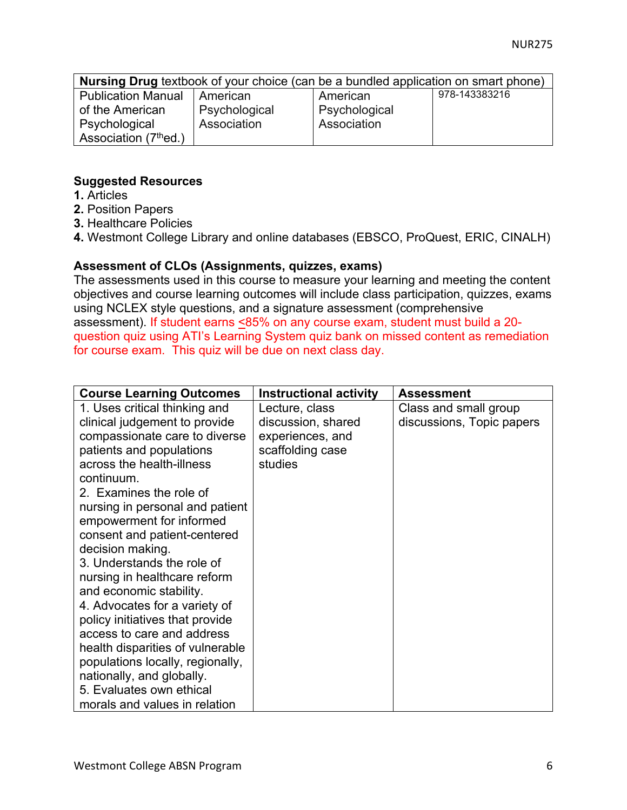| <b>Nursing Drug</b> textbook of your choice (can be a bundled application on smart phone) |               |               |               |  |  |
|-------------------------------------------------------------------------------------------|---------------|---------------|---------------|--|--|
| <b>Publication Manual</b>                                                                 | American      | American      | 978-143383216 |  |  |
| of the American                                                                           | Psychological | Psychological |               |  |  |
| Psychological                                                                             | Association   | Association   |               |  |  |
| Association (7 <sup>th</sup> ed.)                                                         |               |               |               |  |  |

#### **Suggested Resources**

- **1.** Articles
- **2.** Position Papers
- **3.** Healthcare Policies
- **4.** Westmont College Library and online databases (EBSCO, ProQuest, ERIC, CINALH)

#### **Assessment of CLOs (Assignments, quizzes, exams)**

The assessments used in this course to measure your learning and meeting the content objectives and course learning outcomes will include class participation, quizzes, exams using NCLEX style questions, and a signature assessment (comprehensive assessment). If student earns <85% on any course exam, student must build a 20 question quiz using ATI's Learning System quiz bank on missed content as remediation for course exam. This quiz will be due on next class day.

| <b>Course Learning Outcomes</b>  | <b>Instructional activity</b> | <b>Assessment</b>         |
|----------------------------------|-------------------------------|---------------------------|
| 1. Uses critical thinking and    | Lecture, class                | Class and small group     |
| clinical judgement to provide    | discussion, shared            | discussions, Topic papers |
| compassionate care to diverse    | experiences, and              |                           |
| patients and populations         | scaffolding case              |                           |
| across the health-illness        | studies                       |                           |
| continuum.                       |                               |                           |
| 2. Examines the role of          |                               |                           |
| nursing in personal and patient  |                               |                           |
| empowerment for informed         |                               |                           |
| consent and patient-centered     |                               |                           |
| decision making.                 |                               |                           |
| 3. Understands the role of       |                               |                           |
| nursing in healthcare reform     |                               |                           |
| and economic stability.          |                               |                           |
| 4. Advocates for a variety of    |                               |                           |
| policy initiatives that provide  |                               |                           |
| access to care and address       |                               |                           |
| health disparities of vulnerable |                               |                           |
| populations locally, regionally, |                               |                           |
| nationally, and globally.        |                               |                           |
| 5. Evaluates own ethical         |                               |                           |
| morals and values in relation    |                               |                           |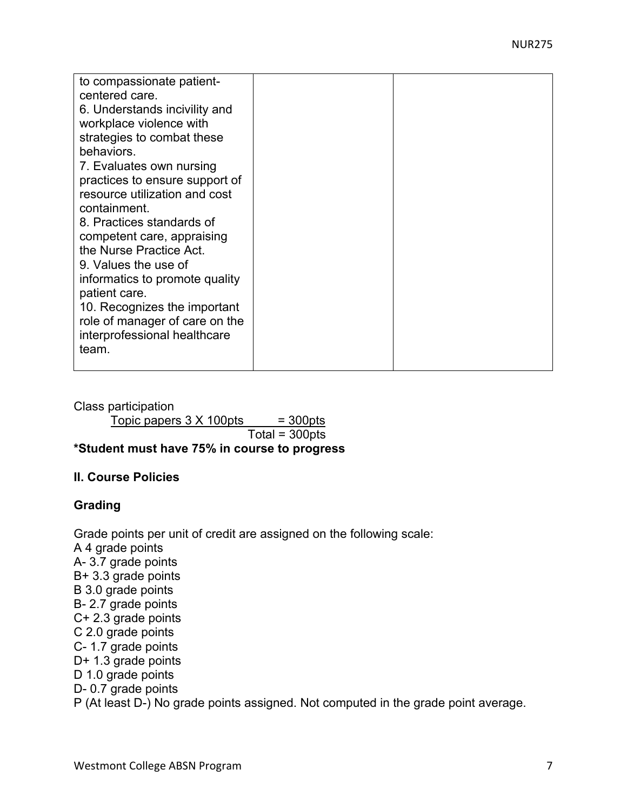| to compassionate patient-<br>centered care.<br>6. Understands incivility and<br>workplace violence with<br>strategies to combat these<br>behaviors.<br>7. Evaluates own nursing<br>practices to ensure support of<br>resource utilization and cost<br>containment.<br>8. Practices standards of<br>competent care, appraising<br>the Nurse Practice Act.<br>9. Values the use of<br>informatics to promote quality<br>patient care.<br>10. Recognizes the important<br>role of manager of care on the<br>interprofessional healthcare |  |
|---------------------------------------------------------------------------------------------------------------------------------------------------------------------------------------------------------------------------------------------------------------------------------------------------------------------------------------------------------------------------------------------------------------------------------------------------------------------------------------------------------------------------------------|--|
| team.                                                                                                                                                                                                                                                                                                                                                                                                                                                                                                                                 |  |

Class participation

 $Topic$  papers  $3 \times 100$ pts = 300pts

 $Total = 300pts$ 

## **\*Student must have 75% in course to progress**

#### **II. Course Policies**

#### **Grading**

Grade points per unit of credit are assigned on the following scale: A 4 grade points A- 3.7 grade points B+ 3.3 grade points B 3.0 grade points B- 2.7 grade points C+ 2.3 grade points C 2.0 grade points C- 1.7 grade points D+ 1.3 grade points D 1.0 grade points D- 0.7 grade points P (At least D-) No grade points assigned. Not computed in the grade point average.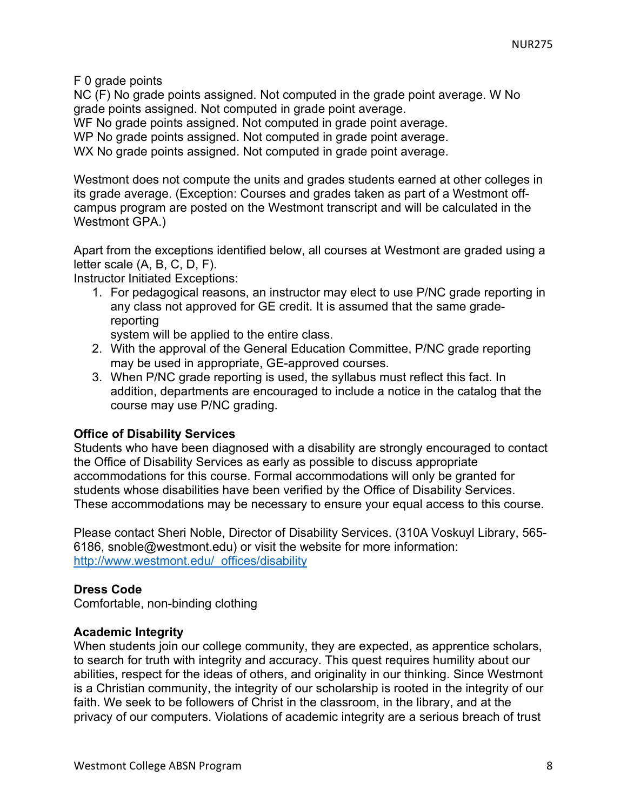F 0 grade points

NC (F) No grade points assigned. Not computed in the grade point average. W No grade points assigned. Not computed in grade point average.

WF No grade points assigned. Not computed in grade point average.

WP No grade points assigned. Not computed in grade point average.

WX No grade points assigned. Not computed in grade point average.

Westmont does not compute the units and grades students earned at other colleges in its grade average. (Exception: Courses and grades taken as part of a Westmont offcampus program are posted on the Westmont transcript and will be calculated in the Westmont GPA.)

Apart from the exceptions identified below, all courses at Westmont are graded using a letter scale (A, B, C, D, F).

Instructor Initiated Exceptions:

1. For pedagogical reasons, an instructor may elect to use P/NC grade reporting in any class not approved for GE credit. It is assumed that the same gradereporting

system will be applied to the entire class.

- 2. With the approval of the General Education Committee, P/NC grade reporting may be used in appropriate, GE-approved courses.
- 3. When P/NC grade reporting is used, the syllabus must reflect this fact. In addition, departments are encouraged to include a notice in the catalog that the course may use P/NC grading.

#### **Office of Disability Services**

Students who have been diagnosed with a disability are strongly encouraged to contact the Office of Disability Services as early as possible to discuss appropriate accommodations for this course. Formal accommodations will only be granted for students whose disabilities have been verified by the Office of Disability Services. These accommodations may be necessary to ensure your equal access to this course.

Please contact Sheri Noble, Director of Disability Services. (310A Voskuyl Library, 565- 6186, snoble@westmont.edu) or visit the website for more information: http://www.westmont.edu/\_offices/disability

## **Dress Code**

Comfortable, non-binding clothing

#### **Academic Integrity**

When students join our college community, they are expected, as apprentice scholars, to search for truth with integrity and accuracy. This quest requires humility about our abilities, respect for the ideas of others, and originality in our thinking. Since Westmont is a Christian community, the integrity of our scholarship is rooted in the integrity of our faith. We seek to be followers of Christ in the classroom, in the library, and at the privacy of our computers. Violations of academic integrity are a serious breach of trust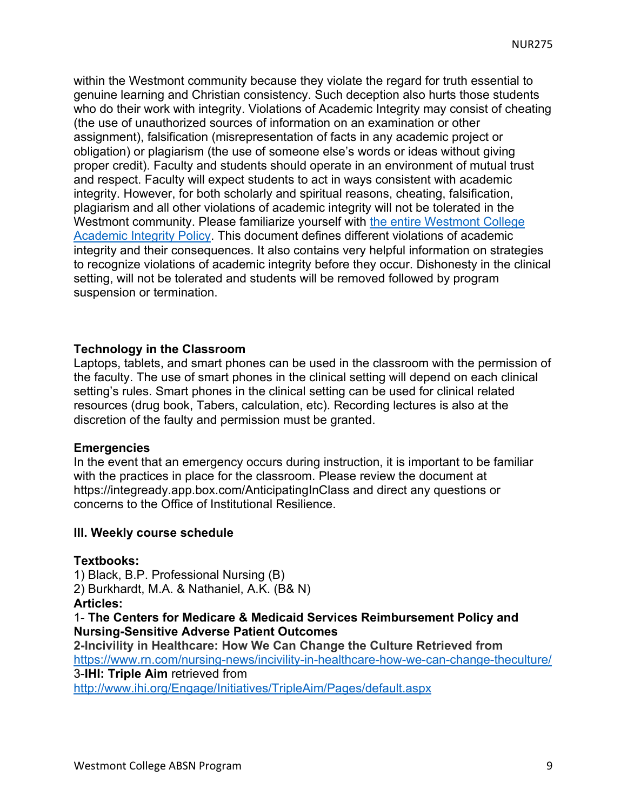within the Westmont community because they violate the regard for truth essential to genuine learning and Christian consistency. Such deception also hurts those students who do their work with integrity. Violations of Academic Integrity may consist of cheating (the use of unauthorized sources of information on an examination or other assignment), falsification (misrepresentation of facts in any academic project or obligation) or plagiarism (the use of someone else's words or ideas without giving proper credit). Faculty and students should operate in an environment of mutual trust and respect. Faculty will expect students to act in ways consistent with academic integrity. However, for both scholarly and spiritual reasons, cheating, falsification, plagiarism and all other violations of academic integrity will not be tolerated in the Westmont community. Please familiarize yourself with the entire Westmont College Academic Integrity Policy. This document defines different violations of academic integrity and their consequences. It also contains very helpful information on strategies to recognize violations of academic integrity before they occur. Dishonesty in the clinical setting, will not be tolerated and students will be removed followed by program suspension or termination.

#### **Technology in the Classroom**

Laptops, tablets, and smart phones can be used in the classroom with the permission of the faculty. The use of smart phones in the clinical setting will depend on each clinical setting's rules. Smart phones in the clinical setting can be used for clinical related resources (drug book, Tabers, calculation, etc). Recording lectures is also at the discretion of the faulty and permission must be granted.

#### **Emergencies**

In the event that an emergency occurs during instruction, it is important to be familiar with the practices in place for the classroom. Please review the document at https://integready.app.box.com/AnticipatingInClass and direct any questions or concerns to the Office of Institutional Resilience.

#### **III. Weekly course schedule**

#### **Textbooks:**

1) Black, B.P. Professional Nursing (B)

2) Burkhardt, M.A. & Nathaniel, A.K. (B& N)

**Articles:** 

1- **The Centers for Medicare & Medicaid Services Reimbursement Policy and Nursing-Sensitive Adverse Patient Outcomes**

**2-Incivility in Healthcare: How We Can Change the Culture Retrieved from**  https://www.rn.com/nursing-news/incivility-in-healthcare-how-we-can-change-theculture/ 3-**IHI: Triple Aim** retrieved from

http://www.ihi.org/Engage/Initiatives/TripleAim/Pages/default.aspx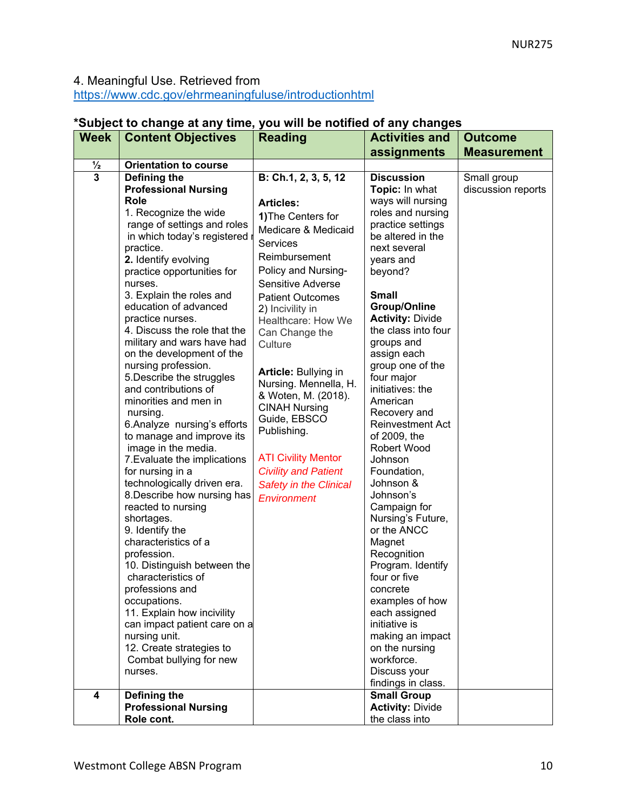# 4. Meaningful Use. Retrieved from

https://www.cdc.gov/ehrmeaningfuluse/introductionhtml

| <b>Reading</b>                                                                                                                                                                                                                                                                                                                         | <b>Activities and</b>                                                                                                                                                                                                                                                                                                                                                                                                                                                                                                                                                                                                                         | <b>Outcome</b>                                                                                                                                                                           |
|----------------------------------------------------------------------------------------------------------------------------------------------------------------------------------------------------------------------------------------------------------------------------------------------------------------------------------------|-----------------------------------------------------------------------------------------------------------------------------------------------------------------------------------------------------------------------------------------------------------------------------------------------------------------------------------------------------------------------------------------------------------------------------------------------------------------------------------------------------------------------------------------------------------------------------------------------------------------------------------------------|------------------------------------------------------------------------------------------------------------------------------------------------------------------------------------------|
|                                                                                                                                                                                                                                                                                                                                        |                                                                                                                                                                                                                                                                                                                                                                                                                                                                                                                                                                                                                                               | <b>Measurement</b>                                                                                                                                                                       |
|                                                                                                                                                                                                                                                                                                                                        |                                                                                                                                                                                                                                                                                                                                                                                                                                                                                                                                                                                                                                               |                                                                                                                                                                                          |
| <b>Articles:</b><br>1) The Centers for<br><b>Services</b><br>Reimbursement<br>Sensitive Adverse<br><b>Patient Outcomes</b><br>2) Incivility in<br>Can Change the<br>Culture<br>Article: Bullying in<br><b>CINAH Nursing</b><br>Guide, EBSCO<br>Publishing.<br><b>ATI Civility Mentor</b><br><b>Civility and Patient</b><br>Environment | <b>Discussion</b><br>Topic: In what<br>ways will nursing<br>roles and nursing<br>practice settings<br>be altered in the<br>next several<br>years and<br>beyond?<br><b>Small</b><br><b>Group/Online</b><br><b>Activity: Divide</b><br>the class into four<br>groups and<br>assign each<br>group one of the<br>four major<br>initiatives: the<br>American<br>Recovery and<br><b>Reinvestment Act</b><br>of 2009, the<br><b>Robert Wood</b><br>Johnson<br>Foundation,<br>Johnson &<br>Johnson's<br>Campaign for<br>Nursing's Future,<br>or the ANCC<br>Magnet<br>Recognition<br>Program. Identify<br>four or five<br>concrete<br>examples of how | Small group<br>discussion reports                                                                                                                                                        |
| 11. Explain how incivility<br>can impact patient care on a<br>12. Create strategies to<br>Combat bullying for new<br><b>Professional Nursing</b>                                                                                                                                                                                       | each assigned<br>initiative is<br>making an impact<br>on the nursing<br>workforce.<br>Discuss your<br>findings in class.<br><b>Small Group</b><br><b>Activity: Divide</b>                                                                                                                                                                                                                                                                                                                                                                                                                                                                     |                                                                                                                                                                                          |
|                                                                                                                                                                                                                                                                                                                                        | <b>Content Objectives</b><br><b>Orientation to course</b><br><b>Professional Nursing</b><br>1. Recognize the wide<br>range of settings and roles<br>in which today's registered<br>practice opportunities for<br>3. Explain the roles and<br>education of advanced<br>4. Discuss the role that the<br>military and wars have had<br>on the development of the<br>5. Describe the struggles<br>6. Analyze nursing's efforts<br>to manage and improve its<br>7. Evaluate the implications<br>technologically driven era.<br>8. Describe how nursing has<br>10. Distinguish between the                                                          | assignments<br>B: Ch.1, 2, 3, 5, 12<br>Medicare & Medicaid<br>Policy and Nursing-<br>Healthcare: How We<br>Nursing. Mennella, H.<br>& Woten, M. (2018).<br><b>Safety in the Clinical</b> |

### **\*Subject to change at any time, you will be notified of any changes**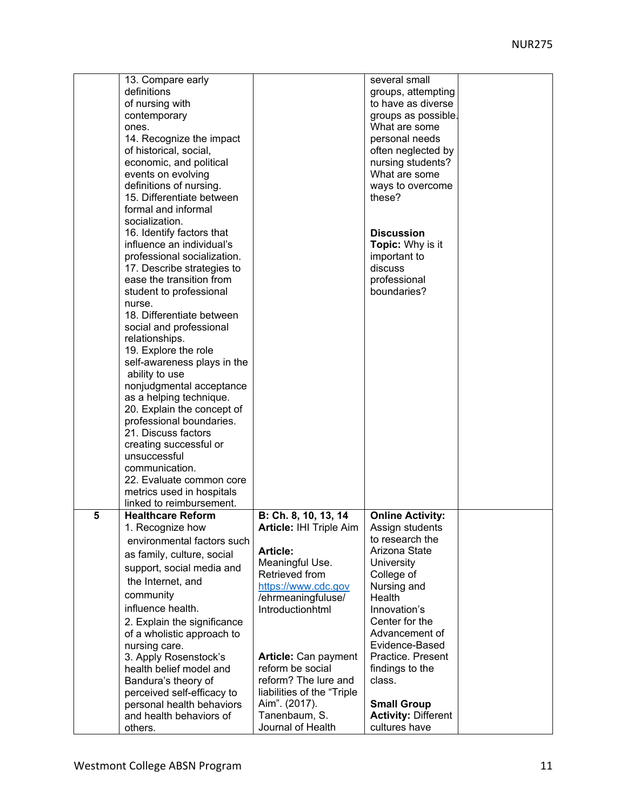|   | 13. Compare early           |                                | several small              |  |
|---|-----------------------------|--------------------------------|----------------------------|--|
|   | definitions                 |                                | groups, attempting         |  |
|   | of nursing with             |                                | to have as diverse         |  |
|   | contemporary                |                                | groups as possible.        |  |
|   | ones.                       |                                | What are some              |  |
|   | 14. Recognize the impact    |                                | personal needs             |  |
|   |                             |                                |                            |  |
|   | of historical, social,      |                                | often neglected by         |  |
|   | economic, and political     |                                | nursing students?          |  |
|   | events on evolving          |                                | What are some              |  |
|   | definitions of nursing.     |                                | ways to overcome           |  |
|   | 15. Differentiate between   |                                | these?                     |  |
|   | formal and informal         |                                |                            |  |
|   | socialization.              |                                |                            |  |
|   | 16. Identify factors that   |                                | <b>Discussion</b>          |  |
|   | influence an individual's   |                                | <b>Topic:</b> Why is it    |  |
|   | professional socialization. |                                | important to               |  |
|   | 17. Describe strategies to  |                                | discuss                    |  |
|   | ease the transition from    |                                | professional               |  |
|   | student to professional     |                                | boundaries?                |  |
|   | nurse.                      |                                |                            |  |
|   | 18. Differentiate between   |                                |                            |  |
|   | social and professional     |                                |                            |  |
|   | relationships.              |                                |                            |  |
|   | 19. Explore the role        |                                |                            |  |
|   | self-awareness plays in the |                                |                            |  |
|   | ability to use              |                                |                            |  |
|   | nonjudgmental acceptance    |                                |                            |  |
|   | as a helping technique.     |                                |                            |  |
|   | 20. Explain the concept of  |                                |                            |  |
|   | professional boundaries.    |                                |                            |  |
|   | 21. Discuss factors         |                                |                            |  |
|   | creating successful or      |                                |                            |  |
|   | unsuccessful                |                                |                            |  |
|   | communication.              |                                |                            |  |
|   | 22. Evaluate common core    |                                |                            |  |
|   | metrics used in hospitals   |                                |                            |  |
|   | linked to reimbursement.    |                                |                            |  |
| 5 | <b>Healthcare Reform</b>    | B: Ch. 8, 10, 13, 14           | <b>Online Activity:</b>    |  |
|   | 1. Recognize how            | <b>Article: IHI Triple Aim</b> | Assign students            |  |
|   | environmental factors such  |                                | to research the            |  |
|   | as family, culture, social  | <b>Article:</b>                | Arizona State              |  |
|   | support, social media and   | Meaningful Use.                | University                 |  |
|   | the Internet, and           | Retrieved from                 | College of                 |  |
|   |                             | https://www.cdc.gov            | Nursing and                |  |
|   | community                   | /ehrmeaningfuluse/             | Health                     |  |
|   | influence health.           | Introductionhtml               | Innovation's               |  |
|   | 2. Explain the significance |                                | Center for the             |  |
|   | of a wholistic approach to  |                                | Advancement of             |  |
|   | nursing care.               |                                | Evidence-Based             |  |
|   | 3. Apply Rosenstock's       | Article: Can payment           | Practice. Present          |  |
|   | health belief model and     | reform be social               | findings to the            |  |
|   | Bandura's theory of         | reform? The lure and           | class.                     |  |
|   | perceived self-efficacy to  | liabilities of the "Triple     |                            |  |
|   | personal health behaviors   | Aim". (2017).                  | <b>Small Group</b>         |  |
|   | and health behaviors of     | Tanenbaum, S.                  | <b>Activity: Different</b> |  |
|   | others.                     | Journal of Health              | cultures have              |  |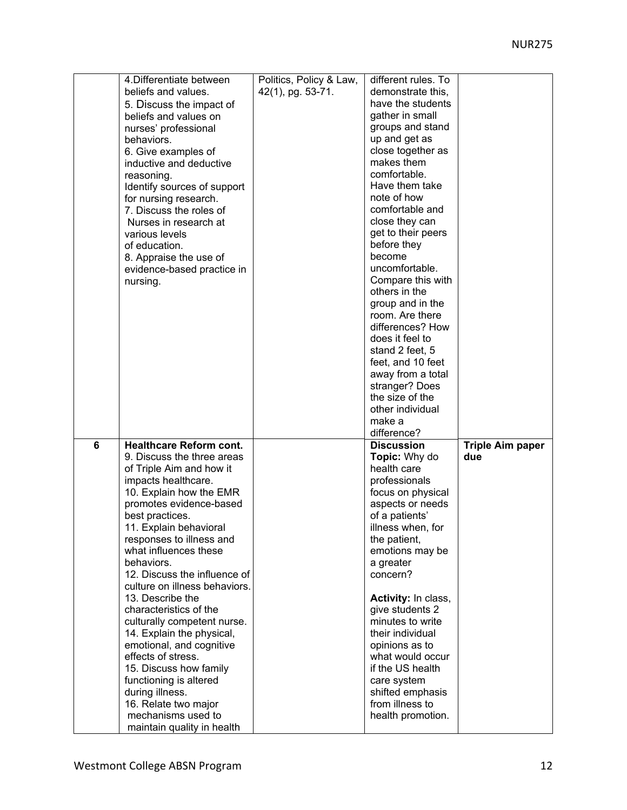|   | 4. Differentiate between                         | Politics, Policy & Law, | different rules. To  |                         |
|---|--------------------------------------------------|-------------------------|----------------------|-------------------------|
|   | beliefs and values.                              | 42(1), pg. 53-71.       | demonstrate this,    |                         |
|   | 5. Discuss the impact of                         |                         | have the students    |                         |
|   | beliefs and values on                            |                         | gather in small      |                         |
|   |                                                  |                         |                      |                         |
|   | nurses' professional                             |                         | groups and stand     |                         |
|   | behaviors.                                       |                         | up and get as        |                         |
|   | 6. Give examples of                              |                         | close together as    |                         |
|   | inductive and deductive                          |                         | makes them           |                         |
|   | reasoning.                                       |                         | comfortable.         |                         |
|   | Identify sources of support                      |                         | Have them take       |                         |
|   | for nursing research.                            |                         | note of how          |                         |
|   | 7. Discuss the roles of                          |                         | comfortable and      |                         |
|   | Nurses in research at                            |                         | close they can       |                         |
|   | various levels                                   |                         | get to their peers   |                         |
|   | of education.                                    |                         | before they          |                         |
|   | 8. Appraise the use of                           |                         | become               |                         |
|   | evidence-based practice in                       |                         | uncomfortable.       |                         |
|   | nursing.                                         |                         | Compare this with    |                         |
|   |                                                  |                         | others in the        |                         |
|   |                                                  |                         | group and in the     |                         |
|   |                                                  |                         | room. Are there      |                         |
|   |                                                  |                         | differences? How     |                         |
|   |                                                  |                         | does it feel to      |                         |
|   |                                                  |                         | stand 2 feet, 5      |                         |
|   |                                                  |                         | feet, and 10 feet    |                         |
|   |                                                  |                         | away from a total    |                         |
|   |                                                  |                         | stranger? Does       |                         |
|   |                                                  |                         | the size of the      |                         |
|   |                                                  |                         | other individual     |                         |
|   |                                                  |                         |                      |                         |
|   |                                                  |                         |                      |                         |
|   |                                                  |                         | make a               |                         |
|   |                                                  |                         | difference?          |                         |
| 6 | <b>Healthcare Reform cont.</b>                   |                         | <b>Discussion</b>    | <b>Triple Aim paper</b> |
|   | 9. Discuss the three areas                       |                         | <b>Topic:</b> Why do | due                     |
|   | of Triple Aim and how it                         |                         | health care          |                         |
|   | impacts healthcare.                              |                         | professionals        |                         |
|   | 10. Explain how the EMR                          |                         | focus on physical    |                         |
|   | promotes evidence-based                          |                         | aspects or needs     |                         |
|   | best practices.                                  |                         | of a patients'       |                         |
|   | 11. Explain behavioral                           |                         | illness when, for    |                         |
|   | responses to illness and                         |                         | the patient,         |                         |
|   | what influences these                            |                         | emotions may be      |                         |
|   | behaviors.                                       |                         | a greater            |                         |
|   | 12. Discuss the influence of                     |                         | concern?             |                         |
|   | culture on illness behaviors.                    |                         |                      |                         |
|   | 13. Describe the                                 |                         | Activity: In class,  |                         |
|   | characteristics of the                           |                         | give students 2      |                         |
|   | culturally competent nurse.                      |                         | minutes to write     |                         |
|   | 14. Explain the physical,                        |                         | their individual     |                         |
|   | emotional, and cognitive                         |                         | opinions as to       |                         |
|   | effects of stress.                               |                         | what would occur     |                         |
|   | 15. Discuss how family                           |                         | if the US health     |                         |
|   | functioning is altered                           |                         | care system          |                         |
|   | during illness.                                  |                         | shifted emphasis     |                         |
|   | 16. Relate two major                             |                         | from illness to      |                         |
|   | mechanisms used to<br>maintain quality in health |                         | health promotion.    |                         |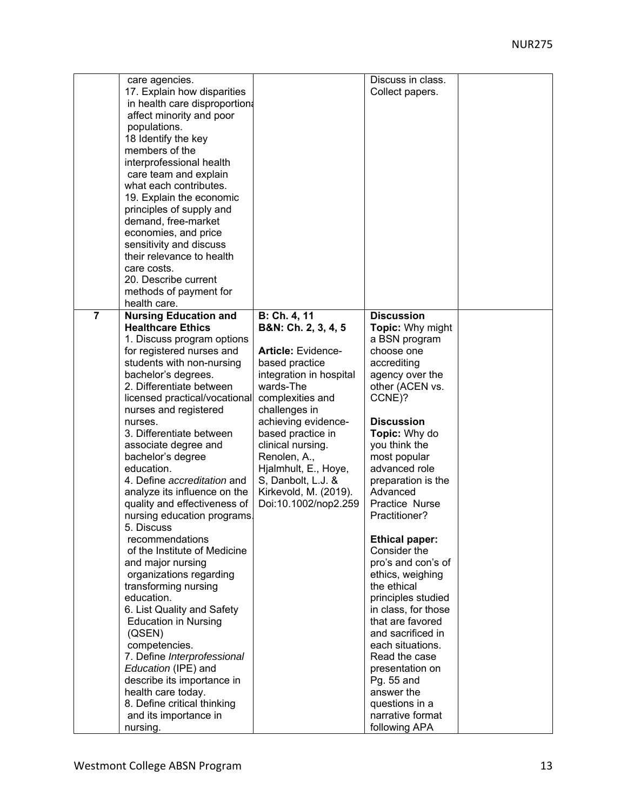|                | care agencies.                     |                           | Discuss in class.                     |  |
|----------------|------------------------------------|---------------------------|---------------------------------------|--|
|                | 17. Explain how disparities        |                           | Collect papers.                       |  |
|                | in health care disproportion:      |                           |                                       |  |
|                | affect minority and poor           |                           |                                       |  |
|                | populations.                       |                           |                                       |  |
|                | 18 Identify the key                |                           |                                       |  |
|                | members of the                     |                           |                                       |  |
|                | interprofessional health           |                           |                                       |  |
|                | care team and explain              |                           |                                       |  |
|                | what each contributes.             |                           |                                       |  |
|                | 19. Explain the economic           |                           |                                       |  |
|                | principles of supply and           |                           |                                       |  |
|                | demand, free-market                |                           |                                       |  |
|                | economies, and price               |                           |                                       |  |
|                | sensitivity and discuss            |                           |                                       |  |
|                | their relevance to health          |                           |                                       |  |
|                | care costs.                        |                           |                                       |  |
|                | 20. Describe current               |                           |                                       |  |
|                | methods of payment for             |                           |                                       |  |
|                | health care.                       |                           |                                       |  |
| $\overline{7}$ | <b>Nursing Education and</b>       | B: Ch. 4, 11              | <b>Discussion</b>                     |  |
|                | <b>Healthcare Ethics</b>           | B&N: Ch. 2, 3, 4, 5       | Topic: Why might                      |  |
|                | 1. Discuss program options         |                           | a BSN program                         |  |
|                | for registered nurses and          | <b>Article: Evidence-</b> | choose one                            |  |
|                | students with non-nursing          | based practice            | accrediting                           |  |
|                | bachelor's degrees.                | integration in hospital   |                                       |  |
|                | 2. Differentiate between           | wards-The                 | agency over the<br>other (ACEN vs.    |  |
|                | licensed practical/vocational      | complexities and          | CCNE)?                                |  |
|                |                                    |                           |                                       |  |
|                | nurses and registered<br>nurses.   | challenges in             | <b>Discussion</b>                     |  |
|                | 3. Differentiate between           | achieving evidence-       |                                       |  |
|                |                                    | based practice in         | Topic: Why do                         |  |
|                | associate degree and               | clinical nursing.         | you think the                         |  |
|                | bachelor's degree<br>education.    | Renolen, A.,              | most popular                          |  |
|                | 4. Define accreditation and        | Hjalmhult, E., Hoye,      | advanced role                         |  |
|                |                                    | S, Danbolt, L.J. &        | preparation is the                    |  |
|                | analyze its influence on the       | Kirkevold, M. (2019).     | Advanced<br>Practice Nurse            |  |
|                | quality and effectiveness of       | Doi:10.1002/nop2.259      |                                       |  |
|                | nursing education programs         |                           | Practitioner?                         |  |
|                | 5. Discuss<br>recommendations      |                           |                                       |  |
|                | of the Institute of Medicine       |                           | <b>Ethical paper:</b><br>Consider the |  |
|                | and major nursing                  |                           | pro's and con's of                    |  |
|                |                                    |                           |                                       |  |
|                | organizations regarding            |                           | ethics, weighing                      |  |
|                | transforming nursing<br>education. |                           | the ethical                           |  |
|                |                                    |                           | principles studied                    |  |
|                | 6. List Quality and Safety         |                           | in class, for those                   |  |
|                | <b>Education in Nursing</b>        |                           | that are favored                      |  |
|                | (QSEN)                             |                           | and sacrificed in                     |  |
|                | competencies.                      |                           | each situations.                      |  |
|                | 7. Define Interprofessional        |                           | Read the case                         |  |
|                | Education (IPE) and                |                           | presentation on                       |  |
|                | describe its importance in         |                           | Pg. 55 and                            |  |
|                | health care today.                 |                           | answer the                            |  |
|                | 8. Define critical thinking        |                           | questions in a                        |  |
|                | and its importance in              |                           | narrative format                      |  |
|                | nursing.                           |                           | following APA                         |  |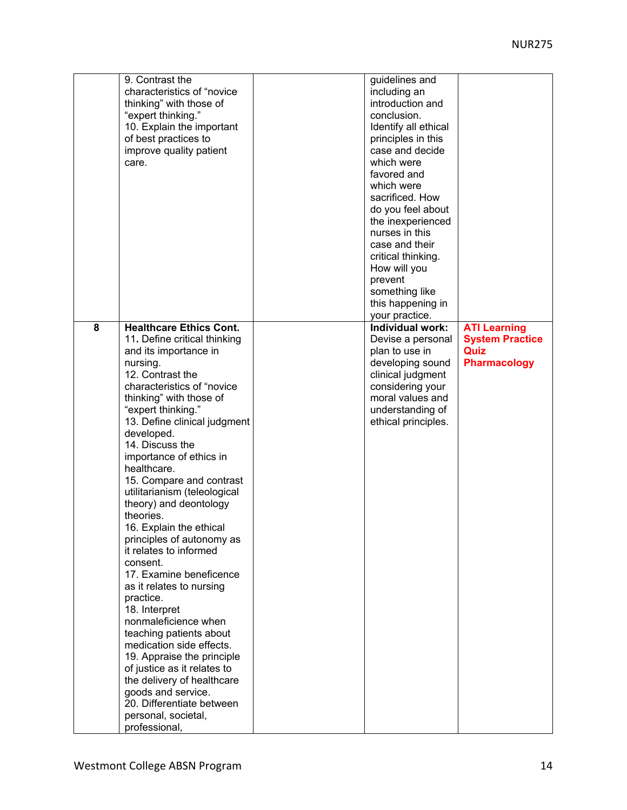|   | 9. Contrast the                | guidelines and       |                        |
|---|--------------------------------|----------------------|------------------------|
|   | characteristics of "novice     | including an         |                        |
|   | thinking" with those of        | introduction and     |                        |
|   | "expert thinking."             | conclusion.          |                        |
|   | 10. Explain the important      | Identify all ethical |                        |
|   | of best practices to           | principles in this   |                        |
|   |                                | case and decide      |                        |
|   | improve quality patient        | which were           |                        |
|   | care.                          |                      |                        |
|   |                                | favored and          |                        |
|   |                                | which were           |                        |
|   |                                | sacrificed. How      |                        |
|   |                                | do you feel about    |                        |
|   |                                | the inexperienced    |                        |
|   |                                | nurses in this       |                        |
|   |                                | case and their       |                        |
|   |                                | critical thinking.   |                        |
|   |                                | How will you         |                        |
|   |                                | prevent              |                        |
|   |                                | something like       |                        |
|   |                                | this happening in    |                        |
|   |                                | your practice.       |                        |
| 8 | <b>Healthcare Ethics Cont.</b> | Individual work:     | <b>ATI Learning</b>    |
|   | 11. Define critical thinking   | Devise a personal    | <b>System Practice</b> |
|   | and its importance in          | plan to use in       | Quiz                   |
|   | nursing.                       | developing sound     | <b>Pharmacology</b>    |
|   | 12. Contrast the               | clinical judgment    |                        |
|   | characteristics of "novice     | considering your     |                        |
|   | thinking" with those of        | moral values and     |                        |
|   |                                |                      |                        |
|   | "expert thinking."             | understanding of     |                        |
|   | 13. Define clinical judgment   | ethical principles.  |                        |
|   | developed.                     |                      |                        |
|   | 14. Discuss the                |                      |                        |
|   | importance of ethics in        |                      |                        |
|   | healthcare.                    |                      |                        |
|   | 15. Compare and contrast       |                      |                        |
|   | utilitarianism (teleological   |                      |                        |
|   | theory) and deontology         |                      |                        |
|   | theories.                      |                      |                        |
|   | 16. Explain the ethical        |                      |                        |
|   | principles of autonomy as      |                      |                        |
|   | it relates to informed         |                      |                        |
|   | consent.                       |                      |                        |
|   | 17. Examine beneficence        |                      |                        |
|   | as it relates to nursing       |                      |                        |
|   | practice.                      |                      |                        |
|   | 18. Interpret                  |                      |                        |
|   | nonmaleficience when           |                      |                        |
|   | teaching patients about        |                      |                        |
|   | medication side effects.       |                      |                        |
|   | 19. Appraise the principle     |                      |                        |
|   | of justice as it relates to    |                      |                        |
|   | the delivery of healthcare     |                      |                        |
|   | goods and service.             |                      |                        |
|   | 20. Differentiate between      |                      |                        |
|   | personal, societal,            |                      |                        |
|   | professional,                  |                      |                        |
|   |                                |                      |                        |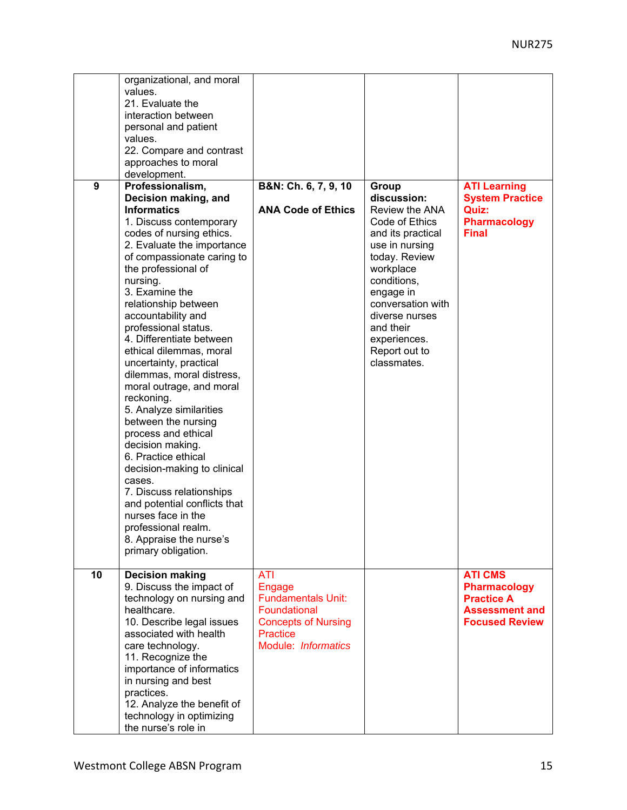|    | organizational, and moral<br>values.<br>21. Evaluate the<br>interaction between                                                                                                                                                                                                                                                                                                                                                                                                                                                                                                                                                                                                                                            |                                                                                                                                           |                                                                                                                                                                                                                                       |                                                                                                              |
|----|----------------------------------------------------------------------------------------------------------------------------------------------------------------------------------------------------------------------------------------------------------------------------------------------------------------------------------------------------------------------------------------------------------------------------------------------------------------------------------------------------------------------------------------------------------------------------------------------------------------------------------------------------------------------------------------------------------------------------|-------------------------------------------------------------------------------------------------------------------------------------------|---------------------------------------------------------------------------------------------------------------------------------------------------------------------------------------------------------------------------------------|--------------------------------------------------------------------------------------------------------------|
|    | personal and patient<br>values.<br>22. Compare and contrast                                                                                                                                                                                                                                                                                                                                                                                                                                                                                                                                                                                                                                                                |                                                                                                                                           |                                                                                                                                                                                                                                       |                                                                                                              |
|    | approaches to moral<br>development.                                                                                                                                                                                                                                                                                                                                                                                                                                                                                                                                                                                                                                                                                        |                                                                                                                                           |                                                                                                                                                                                                                                       |                                                                                                              |
| 9  | Professionalism,<br>Decision making, and<br><b>Informatics</b>                                                                                                                                                                                                                                                                                                                                                                                                                                                                                                                                                                                                                                                             | B&N: Ch. 6, 7, 9, 10<br><b>ANA Code of Ethics</b>                                                                                         | Group<br>discussion:                                                                                                                                                                                                                  | <b>ATI Learning</b><br><b>System Practice</b><br>Quiz:                                                       |
|    | 1. Discuss contemporary<br>codes of nursing ethics.<br>2. Evaluate the importance<br>of compassionate caring to<br>the professional of<br>nursing.<br>3. Examine the<br>relationship between<br>accountability and<br>professional status.<br>4. Differentiate between<br>ethical dilemmas, moral<br>uncertainty, practical<br>dilemmas, moral distress,<br>moral outrage, and moral<br>reckoning.<br>5. Analyze similarities<br>between the nursing<br>process and ethical<br>decision making.<br>6. Practice ethical<br>decision-making to clinical<br>cases.<br>7. Discuss relationships<br>and potential conflicts that<br>nurses face in the<br>professional realm.<br>8. Appraise the nurse's<br>primary obligation. |                                                                                                                                           | Review the ANA<br>Code of Ethics<br>and its practical<br>use in nursing<br>today. Review<br>workplace<br>conditions,<br>engage in<br>conversation with<br>diverse nurses<br>and their<br>experiences.<br>Report out to<br>classmates. | <b>Pharmacology</b><br><b>Final</b>                                                                          |
| 10 | <b>Decision making</b><br>9. Discuss the impact of<br>technology on nursing and<br>healthcare.<br>10. Describe legal issues<br>associated with health<br>care technology.<br>11. Recognize the                                                                                                                                                                                                                                                                                                                                                                                                                                                                                                                             | <b>ATI</b><br>Engage<br><b>Fundamentals Unit:</b><br>Foundational<br><b>Concepts of Nursing</b><br><b>Practice</b><br>Module: Informatics |                                                                                                                                                                                                                                       | <b>ATI CMS</b><br><b>Pharmacology</b><br><b>Practice A</b><br><b>Assessment and</b><br><b>Focused Review</b> |
|    | importance of informatics<br>in nursing and best<br>practices.<br>12. Analyze the benefit of<br>technology in optimizing<br>the nurse's role in                                                                                                                                                                                                                                                                                                                                                                                                                                                                                                                                                                            |                                                                                                                                           |                                                                                                                                                                                                                                       |                                                                                                              |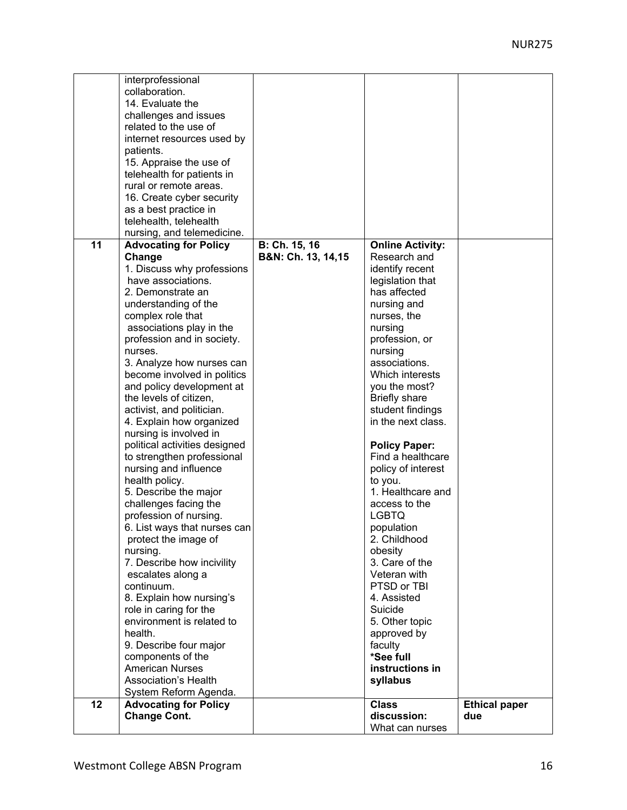|    | interprofessional             |                    |                                |                      |
|----|-------------------------------|--------------------|--------------------------------|----------------------|
|    | collaboration.                |                    |                                |                      |
|    | 14. Evaluate the              |                    |                                |                      |
|    | challenges and issues         |                    |                                |                      |
|    | related to the use of         |                    |                                |                      |
|    | internet resources used by    |                    |                                |                      |
|    | patients.                     |                    |                                |                      |
|    | 15. Appraise the use of       |                    |                                |                      |
|    | telehealth for patients in    |                    |                                |                      |
|    | rural or remote areas.        |                    |                                |                      |
|    | 16. Create cyber security     |                    |                                |                      |
|    | as a best practice in         |                    |                                |                      |
|    | telehealth, telehealth        |                    |                                |                      |
|    | nursing, and telemedicine.    |                    |                                |                      |
| 11 | <b>Advocating for Policy</b>  | B: Ch. 15, 16      | <b>Online Activity:</b>        |                      |
|    | Change                        | B&N: Ch. 13, 14,15 | Research and                   |                      |
|    | 1. Discuss why professions    |                    | identify recent                |                      |
|    | have associations.            |                    | legislation that               |                      |
|    | 2. Demonstrate an             |                    | has affected                   |                      |
|    | understanding of the          |                    | nursing and                    |                      |
|    | complex role that             |                    | nurses, the                    |                      |
|    | associations play in the      |                    | nursing                        |                      |
|    | profession and in society.    |                    | profession, or                 |                      |
|    | nurses.                       |                    | nursing                        |                      |
|    | 3. Analyze how nurses can     |                    | associations.                  |                      |
|    | become involved in politics   |                    | Which interests                |                      |
|    | and policy development at     |                    | you the most?                  |                      |
|    | the levels of citizen,        |                    | <b>Briefly share</b>           |                      |
|    | activist, and politician.     |                    | student findings               |                      |
|    | 4. Explain how organized      |                    | in the next class.             |                      |
|    | nursing is involved in        |                    |                                |                      |
|    | political activities designed |                    | <b>Policy Paper:</b>           |                      |
|    | to strengthen professional    |                    | Find a healthcare              |                      |
|    | nursing and influence         |                    | policy of interest             |                      |
|    | health policy.                |                    | to you.                        |                      |
|    | 5. Describe the major         |                    | 1. Healthcare and              |                      |
|    | challenges facing the         |                    | access to the                  |                      |
|    | profession of nursing.        |                    | <b>LGBTQ</b>                   |                      |
|    | 6. List ways that nurses can  |                    | population                     |                      |
|    | protect the image of          |                    | 2. Childhood                   |                      |
|    | nursing.                      |                    | obesity                        |                      |
|    | 7. Describe how incivility    |                    | 3. Care of the                 |                      |
|    | escalates along a             |                    | Veteran with                   |                      |
|    | continuum.                    |                    | PTSD or TBI                    |                      |
|    | 8. Explain how nursing's      |                    | 4. Assisted                    |                      |
|    | role in caring for the        |                    | Suicide                        |                      |
|    | environment is related to     |                    | 5. Other topic                 |                      |
|    | health.                       |                    | approved by                    |                      |
|    | 9. Describe four major        |                    | faculty                        |                      |
|    | components of the             |                    | *See full                      |                      |
|    | <b>American Nurses</b>        |                    | instructions in                |                      |
|    | Association's Health          |                    | syllabus                       |                      |
|    | System Reform Agenda.         |                    |                                |                      |
| 12 | <b>Advocating for Policy</b>  |                    | <b>Class</b>                   | <b>Ethical paper</b> |
|    | <b>Change Cont.</b>           |                    | discussion:<br>What can nurses | due                  |
|    |                               |                    |                                |                      |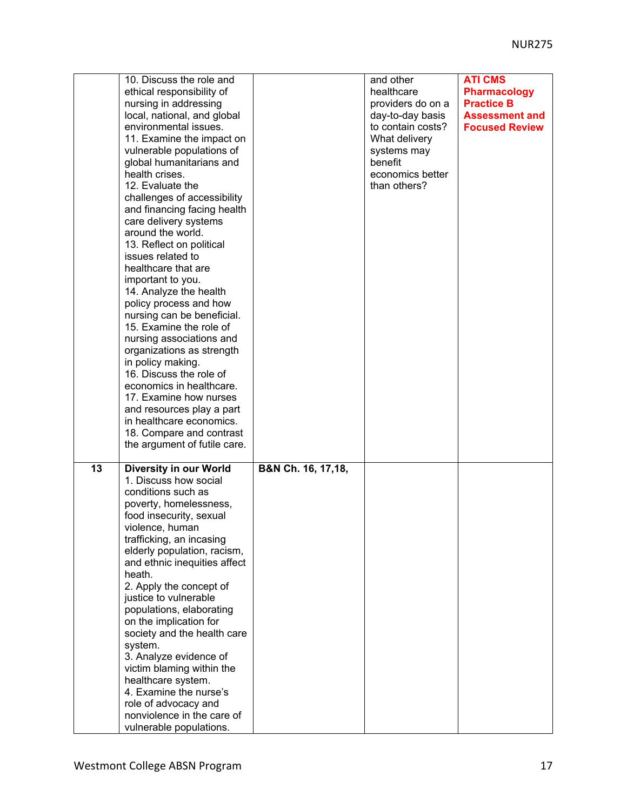|    | 10. Discuss the role and<br>ethical responsibility of<br>nursing in addressing<br>local, national, and global<br>environmental issues.<br>11. Examine the impact on<br>vulnerable populations of<br>global humanitarians and<br>health crises.<br>12. Evaluate the<br>challenges of accessibility<br>and financing facing health<br>care delivery systems<br>around the world.<br>13. Reflect on political<br>issues related to<br>healthcare that are<br>important to you.<br>14. Analyze the health<br>policy process and how<br>nursing can be beneficial.<br>15. Examine the role of<br>nursing associations and<br>organizations as strength<br>in policy making.<br>16. Discuss the role of<br>economics in healthcare.<br>17. Examine how nurses<br>and resources play a part<br>in healthcare economics.<br>18. Compare and contrast<br>the argument of futile care. |                    | and other<br>healthcare<br>providers do on a<br>day-to-day basis<br>to contain costs?<br>What delivery<br>systems may<br>benefit<br>economics better<br>than others? | <b>ATI CMS</b><br><b>Pharmacology</b><br><b>Practice B</b><br><b>Assessment and</b><br><b>Focused Review</b> |
|----|------------------------------------------------------------------------------------------------------------------------------------------------------------------------------------------------------------------------------------------------------------------------------------------------------------------------------------------------------------------------------------------------------------------------------------------------------------------------------------------------------------------------------------------------------------------------------------------------------------------------------------------------------------------------------------------------------------------------------------------------------------------------------------------------------------------------------------------------------------------------------|--------------------|----------------------------------------------------------------------------------------------------------------------------------------------------------------------|--------------------------------------------------------------------------------------------------------------|
| 13 | Diversity in our World<br>1. Discuss how social<br>conditions such as<br>poverty, homelessness,<br>food insecurity, sexual<br>violence, human<br>trafficking, an incasing<br>elderly population, racism,<br>and ethnic inequities affect<br>heath.<br>2. Apply the concept of<br>justice to vulnerable<br>populations, elaborating<br>on the implication for<br>society and the health care<br>system.<br>3. Analyze evidence of<br>victim blaming within the<br>healthcare system.<br>4. Examine the nurse's<br>role of advocacy and<br>nonviolence in the care of<br>vulnerable populations.                                                                                                                                                                                                                                                                               | B&N Ch. 16, 17,18, |                                                                                                                                                                      |                                                                                                              |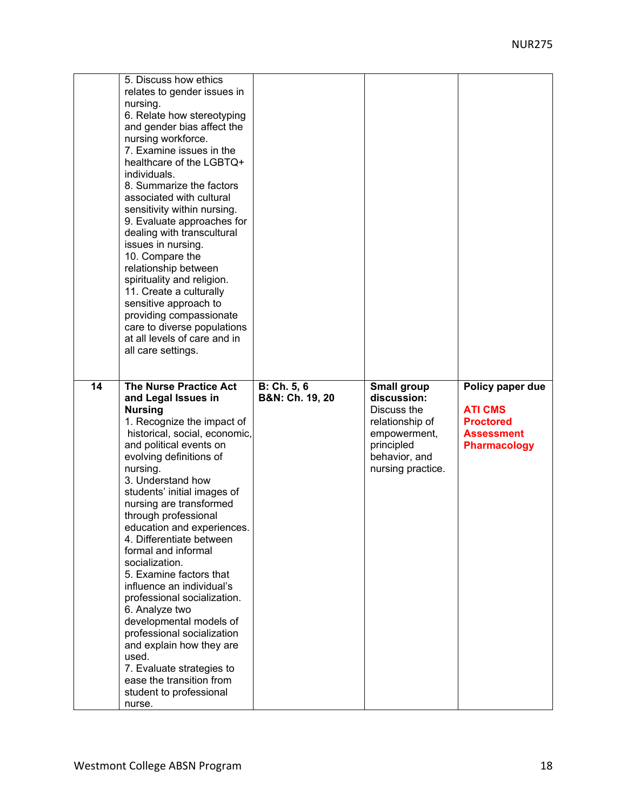| 5. Discuss how ethics<br>relates to gender issues in<br>nursing.<br>6. Relate how stereotyping<br>and gender bias affect the<br>nursing workforce.<br>7. Examine issues in the<br>healthcare of the LGBTQ+<br>individuals.<br>8. Summarize the factors<br>associated with cultural<br>sensitivity within nursing.<br>9. Evaluate approaches for<br>dealing with transcultural<br>issues in nursing.<br>10. Compare the<br>relationship between<br>spirituality and religion.<br>11. Create a culturally<br>sensitive approach to<br>providing compassionate<br>care to diverse populations<br>at all levels of care and in<br>all care settings. |                            |                                                                                                                   |                                                                                |
|--------------------------------------------------------------------------------------------------------------------------------------------------------------------------------------------------------------------------------------------------------------------------------------------------------------------------------------------------------------------------------------------------------------------------------------------------------------------------------------------------------------------------------------------------------------------------------------------------------------------------------------------------|----------------------------|-------------------------------------------------------------------------------------------------------------------|--------------------------------------------------------------------------------|
| and Legal Issues in<br><b>Nursing</b><br>1. Recognize the impact of<br>historical, social, economic,<br>and political events on<br>evolving definitions of<br>nursing.<br>3. Understand how<br>students' initial images of<br>nursing are transformed<br>through professional<br>education and experiences.<br>4. Differentiate between<br>formal and informal<br>socialization.<br>5. Examine factors that<br>influence an individual's<br>professional socialization.<br>6. Analyze two                                                                                                                                                        | <b>B&amp;N: Ch. 19, 20</b> | discussion:<br>Discuss the<br>relationship of<br>empowerment,<br>principled<br>behavior, and<br>nursing practice. | <b>ATI CMS</b><br><b>Proctored</b><br><b>Assessment</b><br><b>Pharmacology</b> |
| developmental models of<br>professional socialization<br>and explain how they are<br>used.<br>7. Evaluate strategies to<br>ease the transition from<br>student to professional<br>nurse.                                                                                                                                                                                                                                                                                                                                                                                                                                                         |                            |                                                                                                                   |                                                                                |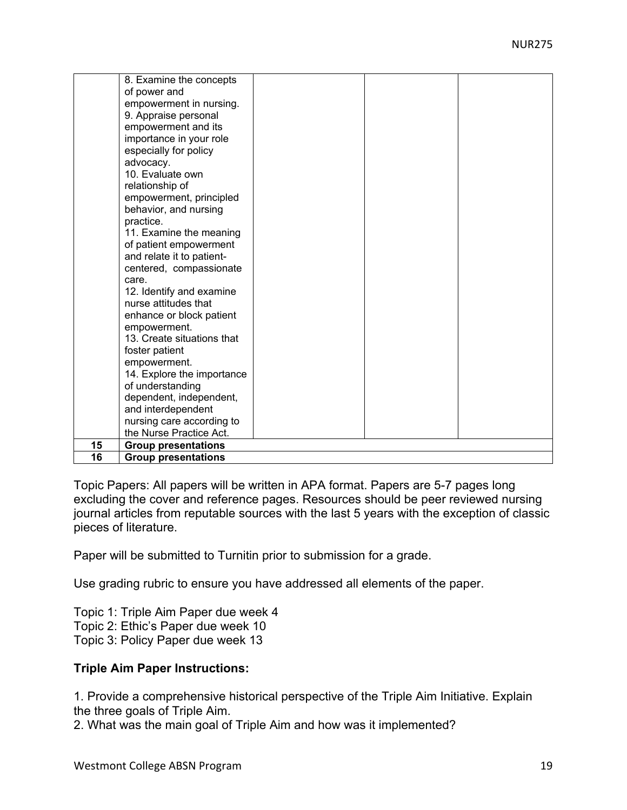|    | 8. Examine the concepts    |  |  |
|----|----------------------------|--|--|
|    | of power and               |  |  |
|    | empowerment in nursing.    |  |  |
|    | 9. Appraise personal       |  |  |
|    | empowerment and its        |  |  |
|    | importance in your role    |  |  |
|    | especially for policy      |  |  |
|    | advocacy.                  |  |  |
|    | 10. Evaluate own           |  |  |
|    | relationship of            |  |  |
|    | empowerment, principled    |  |  |
|    | behavior, and nursing      |  |  |
|    | practice.                  |  |  |
|    | 11. Examine the meaning    |  |  |
|    | of patient empowerment     |  |  |
|    | and relate it to patient-  |  |  |
|    | centered, compassionate    |  |  |
|    | care.                      |  |  |
|    | 12. Identify and examine   |  |  |
|    | nurse attitudes that       |  |  |
|    | enhance or block patient   |  |  |
|    | empowerment.               |  |  |
|    | 13. Create situations that |  |  |
|    | foster patient             |  |  |
|    | empowerment.               |  |  |
|    | 14. Explore the importance |  |  |
|    | of understanding           |  |  |
|    | dependent, independent,    |  |  |
|    | and interdependent         |  |  |
|    | nursing care according to  |  |  |
|    | the Nurse Practice Act.    |  |  |
| 15 | <b>Group presentations</b> |  |  |
| 16 | <b>Group presentations</b> |  |  |

Topic Papers: All papers will be written in APA format. Papers are 5-7 pages long excluding the cover and reference pages. Resources should be peer reviewed nursing journal articles from reputable sources with the last 5 years with the exception of classic pieces of literature.

Paper will be submitted to Turnitin prior to submission for a grade.

Use grading rubric to ensure you have addressed all elements of the paper.

Topic 1: Triple Aim Paper due week 4 Topic 2: Ethic's Paper due week 10 Topic 3: Policy Paper due week 13

#### **Triple Aim Paper Instructions:**

1. Provide a comprehensive historical perspective of the Triple Aim Initiative. Explain the three goals of Triple Aim.

2. What was the main goal of Triple Aim and how was it implemented?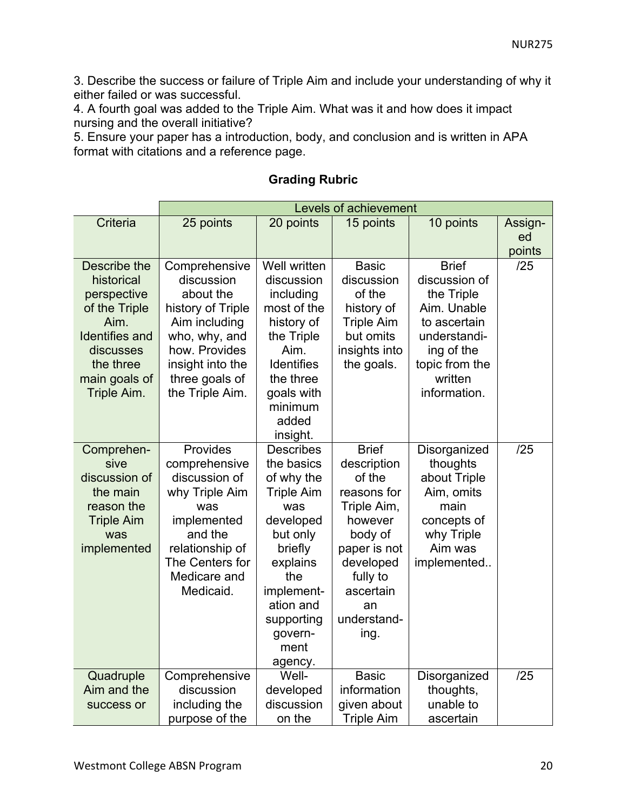3. Describe the success or failure of Triple Aim and include your understanding of why it either failed or was successful.

4. A fourth goal was added to the Triple Aim. What was it and how does it impact nursing and the overall initiative?

5. Ensure your paper has a introduction, body, and conclusion and is written in APA format with citations and a reference page.

|                                                                                                                                                       | Levels of achievement                                                                                                                                                     |                                                                                                                                                                                                        |                                                                                                                                                                              |                                                                                                                                                       |                         |  |
|-------------------------------------------------------------------------------------------------------------------------------------------------------|---------------------------------------------------------------------------------------------------------------------------------------------------------------------------|--------------------------------------------------------------------------------------------------------------------------------------------------------------------------------------------------------|------------------------------------------------------------------------------------------------------------------------------------------------------------------------------|-------------------------------------------------------------------------------------------------------------------------------------------------------|-------------------------|--|
| Criteria                                                                                                                                              | 25 points                                                                                                                                                                 | 20 points                                                                                                                                                                                              | 15 points                                                                                                                                                                    | 10 points                                                                                                                                             | Assign-<br>ed<br>points |  |
| Describe the<br>historical<br>perspective<br>of the Triple<br>Aim.<br><b>Identifies and</b><br>discusses<br>the three<br>main goals of<br>Triple Aim. | Comprehensive<br>discussion<br>about the<br>history of Triple<br>Aim including<br>who, why, and<br>how. Provides<br>insight into the<br>three goals of<br>the Triple Aim. | Well written<br>discussion<br>including<br>most of the<br>history of<br>the Triple<br>Aim.<br><b>Identifies</b><br>the three<br>goals with<br>minimum<br>added<br>insight.                             | <b>Basic</b><br>discussion<br>of the<br>history of<br><b>Triple Aim</b><br>but omits<br>insights into<br>the goals.                                                          | <b>Brief</b><br>discussion of<br>the Triple<br>Aim. Unable<br>to ascertain<br>understandi-<br>ing of the<br>topic from the<br>written<br>information. | /25                     |  |
| Comprehen-<br>sive<br>discussion of<br>the main<br>reason the<br><b>Triple Aim</b><br>was<br>implemented                                              | Provides<br>comprehensive<br>discussion of<br>why Triple Aim<br>was<br>implemented<br>and the<br>relationship of<br>The Centers for<br>Medicare and<br>Medicaid.          | <b>Describes</b><br>the basics<br>of why the<br><b>Triple Aim</b><br>was<br>developed<br>but only<br>briefly<br>explains<br>the<br>implement-<br>ation and<br>supporting<br>govern-<br>ment<br>agency. | <b>Brief</b><br>description<br>of the<br>reasons for<br>Triple Aim,<br>however<br>body of<br>paper is not<br>developed<br>fully to<br>ascertain<br>an<br>understand-<br>ing. | Disorganized<br>thoughts<br>about Triple<br>Aim, omits<br>main<br>concepts of<br>why Triple<br>Aim was<br>implemented                                 | /25                     |  |
| Quadruple<br>Aim and the<br>success or                                                                                                                | Comprehensive<br>discussion<br>including the<br>purpose of the                                                                                                            | Well-<br>developed<br>discussion<br>on the                                                                                                                                                             | <b>Basic</b><br>information<br>given about<br><b>Triple Aim</b>                                                                                                              | Disorganized<br>thoughts,<br>unable to<br>ascertain                                                                                                   | /25                     |  |

#### **Grading Rubric**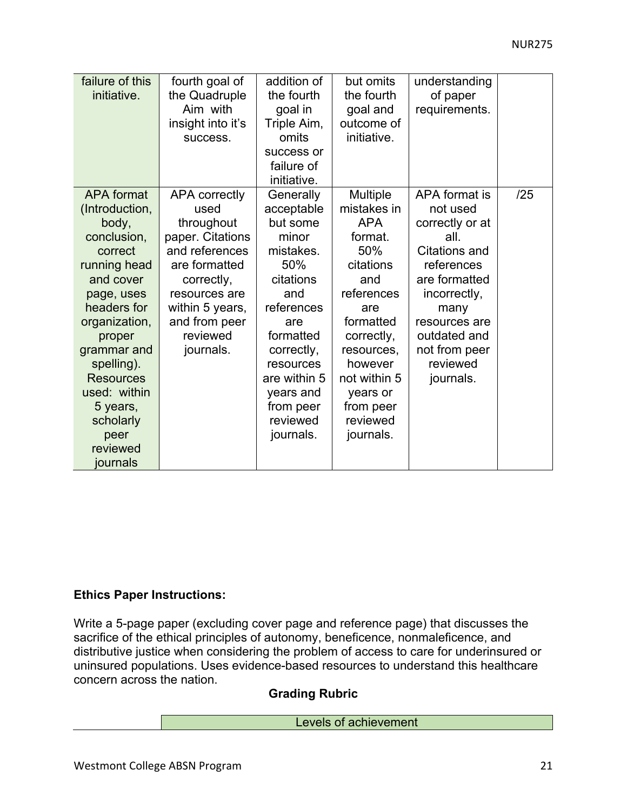| failure of this<br>initiative.                                                                                                                                                                                                                                                        | fourth goal of<br>the Quadruple<br>Aim with<br>insight into it's<br>success.                                                                                                                  | addition of<br>the fourth<br>goal in<br>Triple Aim,<br>omits<br>success or<br>failure of                                                                                                                             | but omits<br>the fourth<br>goal and<br>outcome of<br>initiative.                                                                                                                                                       | understanding<br>of paper<br>requirements.                                                                                                                                                                    |     |
|---------------------------------------------------------------------------------------------------------------------------------------------------------------------------------------------------------------------------------------------------------------------------------------|-----------------------------------------------------------------------------------------------------------------------------------------------------------------------------------------------|----------------------------------------------------------------------------------------------------------------------------------------------------------------------------------------------------------------------|------------------------------------------------------------------------------------------------------------------------------------------------------------------------------------------------------------------------|---------------------------------------------------------------------------------------------------------------------------------------------------------------------------------------------------------------|-----|
|                                                                                                                                                                                                                                                                                       |                                                                                                                                                                                               | initiative.                                                                                                                                                                                                          |                                                                                                                                                                                                                        |                                                                                                                                                                                                               |     |
| <b>APA</b> format<br>(Introduction,<br>body,<br>conclusion,<br>correct<br>running head<br>and cover<br>page, uses<br>headers for<br>organization,<br>proper<br>grammar and<br>spelling).<br><b>Resources</b><br>used: within<br>5 years,<br>scholarly<br>peer<br>reviewed<br>journals | <b>APA correctly</b><br>used<br>throughout<br>paper. Citations<br>and references<br>are formatted<br>correctly,<br>resources are<br>within 5 years,<br>and from peer<br>reviewed<br>journals. | Generally<br>acceptable<br>but some<br>minor<br>mistakes.<br>50%<br>citations<br>and<br>references<br>are<br>formatted<br>correctly,<br>resources<br>are within 5<br>years and<br>from peer<br>reviewed<br>journals. | Multiple<br>mistakes in<br><b>APA</b><br>format.<br>50%<br>citations<br>and<br>references<br>are<br>formatted<br>correctly,<br>resources,<br>however<br>not within 5<br>years or<br>from peer<br>reviewed<br>journals. | APA format is<br>not used<br>correctly or at<br>all<br><b>Citations and</b><br>references<br>are formatted<br>incorrectly,<br>many<br>resources are<br>outdated and<br>not from peer<br>reviewed<br>journals. | /25 |

#### **Ethics Paper Instructions:**

Write a 5-page paper (excluding cover page and reference page) that discusses the sacrifice of the ethical principles of autonomy, beneficence, nonmaleficence, and distributive justice when considering the problem of access to care for underinsured or uninsured populations. Uses evidence-based resources to understand this healthcare concern across the nation.

# **Grading Rubric**

#### Levels of achievement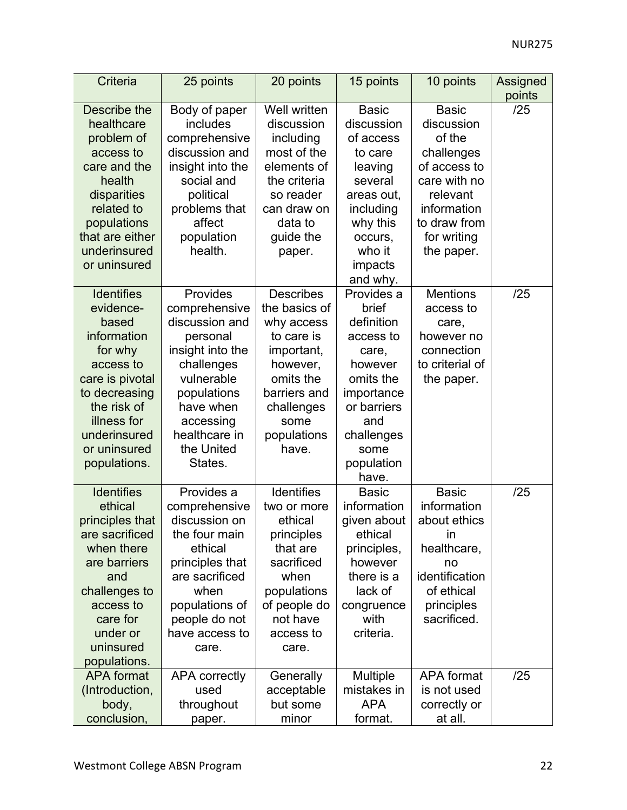| Criteria                          | 25 points                    | 20 points              | 15 points               | 10 points         | Assigned<br>points |
|-----------------------------------|------------------------------|------------------------|-------------------------|-------------------|--------------------|
| Describe the                      | Body of paper                | Well written           | <b>Basic</b>            | <b>Basic</b>      | /25                |
| healthcare                        | includes                     | discussion             | discussion              | discussion        |                    |
| problem of                        | comprehensive                | including              | of access               | of the            |                    |
| access to                         | discussion and               | most of the            | to care                 | challenges        |                    |
| care and the                      | insight into the             | elements of            | leaving                 | of access to      |                    |
| health                            | social and                   | the criteria           | several                 | care with no      |                    |
| disparities                       | political                    | so reader              | areas out,              | relevant          |                    |
| related to                        | problems that                | can draw on            | including               | information       |                    |
| populations                       | affect                       | data to                | why this                | to draw from      |                    |
| that are either                   | population                   | guide the              | occurs,                 | for writing       |                    |
| underinsured                      | health.                      | paper.                 | who it                  | the paper.        |                    |
| or uninsured                      |                              |                        | impacts                 |                   |                    |
|                                   |                              |                        | and why.                |                   |                    |
| <b>Identifies</b>                 | Provides                     | <b>Describes</b>       | Provides a              | <b>Mentions</b>   | /25                |
| evidence-                         | comprehensive                | the basics of          | brief                   | access to         |                    |
| based                             | discussion and               | why access             | definition              | care,             |                    |
| information                       | personal                     | to care is             | access to               | however no        |                    |
| for why                           | insight into the             | important,             | care,                   | connection        |                    |
| access to                         | challenges                   | however,               | however                 | to criterial of   |                    |
| care is pivotal                   | vulnerable                   | omits the              | omits the               | the paper.        |                    |
| to decreasing                     | populations                  | barriers and           | importance              |                   |                    |
| the risk of                       | have when                    | challenges             | or barriers             |                   |                    |
| illness for                       | accessing                    | some                   | and                     |                   |                    |
| underinsured                      | healthcare in                | populations            | challenges              |                   |                    |
| or uninsured                      | the United                   | have.                  | some                    |                   |                    |
| populations.                      | States.                      |                        | population              |                   |                    |
|                                   |                              |                        | have.                   |                   |                    |
| <b>Identifies</b>                 | Provides a                   | Identifies             | <b>Basic</b>            | <b>Basic</b>      | /25                |
| ethical                           | comprehensive                | two or more            | information             | information       |                    |
| principles that                   | discussion on                | ethical                | given about             | about ethics      |                    |
| are sacrificed                    | the four main                | principles             | ethical                 | $\mathsf{In}$     |                    |
| when there                        | ethical                      | that are               | principles,             | healthcare,       |                    |
| are barriers                      | principles that              | sacrificed             | however                 | no                |                    |
| and                               | are sacrificed               | when                   | there is a              | identification    |                    |
| challenges to                     | when                         | populations            | lack of                 | of ethical        |                    |
| access to                         | populations of               | of people do           | congruence<br>with      | principles        |                    |
| care for                          | people do not                | not have               |                         | sacrificed.       |                    |
| under or<br>uninsured             | have access to               | access to              | criteria.               |                   |                    |
|                                   | care.                        | care.                  |                         |                   |                    |
| populations.<br><b>APA</b> format |                              |                        |                         | <b>APA</b> format | /25                |
| (Introduction,                    | <b>APA correctly</b><br>used | Generally              | Multiple<br>mistakes in | is not used       |                    |
| body,                             | throughout                   | acceptable<br>but some | <b>APA</b>              | correctly or      |                    |
| conclusion,                       |                              | minor                  | format.                 | at all.           |                    |
|                                   | paper.                       |                        |                         |                   |                    |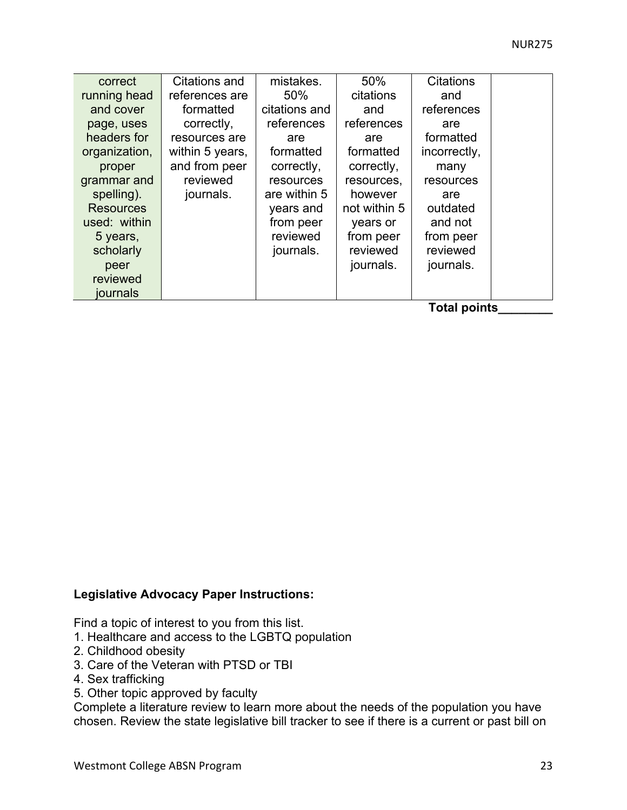| correct          | Citations and   | mistakes.     | 50%          | <b>Citations</b> |  |
|------------------|-----------------|---------------|--------------|------------------|--|
| running head     | references are  | 50%           | citations    | and              |  |
| and cover        | formatted       | citations and | and          | references       |  |
| page, uses       | correctly,      | references    | references   | are              |  |
| headers for      | resources are   | are           | are          | formatted        |  |
| organization,    | within 5 years, | formatted     | formatted    | incorrectly,     |  |
| proper           | and from peer   | correctly,    | correctly,   | many             |  |
| grammar and      | reviewed        | resources     | resources,   | resources        |  |
| spelling).       | journals.       | are within 5  | however      | are              |  |
| <b>Resources</b> |                 | years and     | not within 5 | outdated         |  |
| used: within     |                 | from peer     | years or     | and not          |  |
| 5 years,         |                 | reviewed      | from peer    | from peer        |  |
| scholarly        |                 | journals.     | reviewed     | reviewed         |  |
| peer             |                 |               | journals.    | journals.        |  |
| reviewed         |                 |               |              |                  |  |
| journals         |                 |               |              |                  |  |

**Total points\_\_\_\_\_\_\_\_** 

#### **Legislative Advocacy Paper Instructions:**

Find a topic of interest to you from this list.

- 1. Healthcare and access to the LGBTQ population
- 2. Childhood obesity
- 3. Care of the Veteran with PTSD or TBI
- 4. Sex trafficking
- 5. Other topic approved by faculty

Complete a literature review to learn more about the needs of the population you have chosen. Review the state legislative bill tracker to see if there is a current or past bill on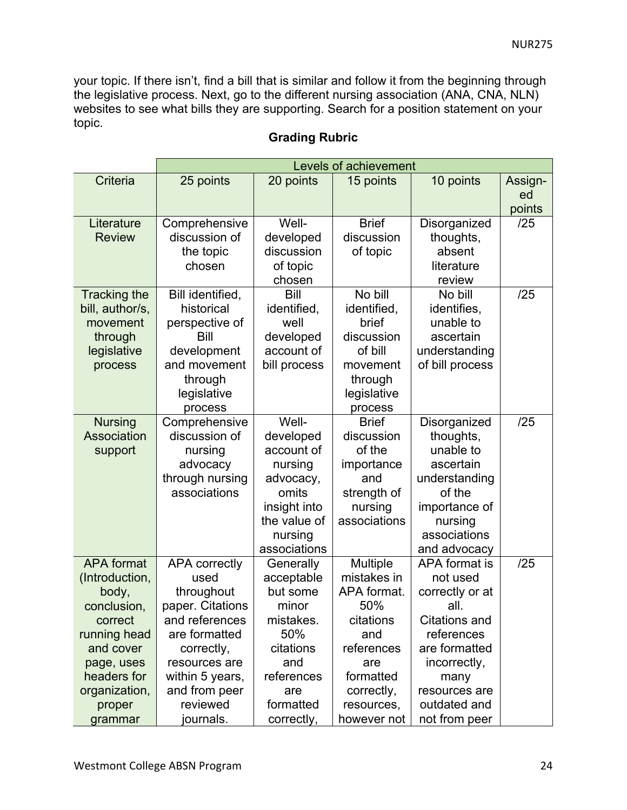your topic. If there isn't, find a bill that is similar and follow it from the beginning through the legislative process. Next, go to the different nursing association (ANA, CNA, NLN) websites to see what bills they are supporting. Search for a position statement on your topic.

|                                                                                                                                                                        | Levels of achievement                                                                                                                                                                         |                                                                                                                                      |                                                                                                                                                |                                                                                                                                                                                       |                         |
|------------------------------------------------------------------------------------------------------------------------------------------------------------------------|-----------------------------------------------------------------------------------------------------------------------------------------------------------------------------------------------|--------------------------------------------------------------------------------------------------------------------------------------|------------------------------------------------------------------------------------------------------------------------------------------------|---------------------------------------------------------------------------------------------------------------------------------------------------------------------------------------|-------------------------|
| Criteria                                                                                                                                                               | 25 points                                                                                                                                                                                     | 20 points                                                                                                                            | 15 points                                                                                                                                      | 10 points                                                                                                                                                                             | Assign-<br>ed<br>points |
| Literature<br><b>Review</b>                                                                                                                                            | Comprehensive<br>discussion of<br>the topic<br>chosen                                                                                                                                         | Well-<br>developed<br>discussion<br>of topic<br>chosen                                                                               | <b>Brief</b><br>discussion<br>of topic                                                                                                         | Disorganized<br>thoughts,<br>absent<br>literature<br>review                                                                                                                           | /25                     |
| <b>Tracking the</b><br>bill, author/s,<br>movement<br>through<br>legislative<br>process                                                                                | Bill identified,<br>historical<br>perspective of<br>Bill<br>development<br>and movement<br>through<br>legislative<br>process                                                                  | Bill<br>identified,<br>well<br>developed<br>account of<br>bill process                                                               | No bill<br>identified,<br>brief<br>discussion<br>of bill<br>movement<br>through<br>legislative<br>process                                      | No bill<br>identifies,<br>unable to<br>ascertain<br>understanding<br>of bill process                                                                                                  | /25                     |
| <b>Nursing</b><br>Association<br>support                                                                                                                               | Comprehensive<br>discussion of<br>nursing<br>advocacy<br>through nursing<br>associations                                                                                                      | Well-<br>developed<br>account of<br>nursing<br>advocacy,<br>omits<br>insight into<br>the value of<br>nursing<br>associations         | <b>Brief</b><br>discussion<br>of the<br>importance<br>and<br>strength of<br>nursing<br>associations                                            | Disorganized<br>thoughts,<br>unable to<br>ascertain<br>understanding<br>of the<br>importance of<br>nursing<br>associations<br>and advocacy                                            | /25                     |
| <b>APA</b> format<br>(Introduction,<br>body,<br>conclusion,<br>correct<br>running head<br>and cover<br>page, uses<br>headers for<br>organization,<br>proper<br>grammar | <b>APA correctly</b><br>used<br>throughout<br>paper. Citations<br>and references<br>are formatted<br>correctly,<br>resources are<br>within 5 years,<br>and from peer<br>reviewed<br>journals. | Generally<br>acceptable<br>but some<br>minor<br>mistakes.<br>50%<br>citations<br>and<br>references<br>are<br>formatted<br>correctly, | Multiple<br>mistakes in<br>APA format.<br>50%<br>citations<br>and<br>references<br>are<br>formatted<br>correctly,<br>resources,<br>however not | APA format is<br>not used<br>correctly or at<br>all.<br><b>Citations and</b><br>references<br>are formatted<br>incorrectly,<br>many<br>resources are<br>outdated and<br>not from peer | /25                     |

# **Grading Rubric**